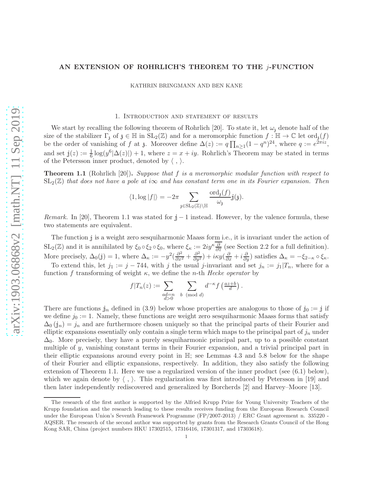## AN EXTENSION OF ROHRLICH'S THEOREM TO THE j-FUNCTION

KATHRIN BRINGMANN AND BEN KANE

### 1. Introduction and statement of results

We start by recalling the following theorem of Rohrlich [20]. To state it, let  $\omega_i$  denote half of the size of the stabilizer  $\Gamma_3$  of  $\mathfrak{z} \in \mathbb{H}$  in  $SL_2(\mathbb{Z})$  and for a meromorphic function  $f : \mathbb{H} \to \mathbb{C}$  let  $\text{ord}_{\mathfrak{z}}(f)$ be the order of vanishing of f at z. Moreover define  $\Delta(z) := q \prod_{n \geq 1} (1 - q^n)^{24}$ , where  $q := e^{2\pi i z}$ , and set  $j(z) := \frac{1}{6} \log(y^6 |\Delta(z)|) + 1$ , where  $z = x + iy$ . Rohrlich's Theorem may be stated in terms of the Petersson inner product, denoted by  $\langle , \rangle$ .

**Theorem 1.1** (Rohrlich [20]). Suppose that  $f$  is a meromorphic modular function with respect to  $SL_2(\mathbb{Z})$  that does not have a pole at i $\infty$  and has constant term one in its Fourier expansion. Then

$$
\langle 1, \log |f| \rangle = -2\pi \sum_{\mathfrak{z} \in \mathrm{SL}_2(\mathbb{Z}) \backslash \mathbb{H}} \frac{\mathrm{ord}_{\mathfrak{z}}(f)}{\omega_{\mathfrak{z}}} \dot{\mathfrak{z}}(\mathfrak{z}).
$$

Remark. In [20], Theorem 1.1 was stated for  $j - 1$  instead. However, by the valence formula, these two statements are equivalent.

The function <sup>j</sup> is a weight zero sesquiharmonic Maass form i.e., it is invariant under the action of  $SL_2(\mathbb{Z})$  and it is annihilated by  $\xi_0 \circ \xi_2 \circ \xi_0$ , where  $\xi_{\kappa} := 2iy^{\kappa} \frac{\partial}{\partial \overline{z}}$  (see Section 2.2 for a full definition). More precisely,  $\Delta_0(j) = 1$ , where  $\Delta_{\kappa} := -y^2(\frac{\partial^2}{\partial x^2} + \frac{\partial^2}{\partial y^2}) + i\kappa y(\frac{\partial}{\partial x} + i\frac{\partial}{\partial y})$  satisfies  $\Delta_{\kappa} = -\xi_{2-\kappa} \circ \xi_{\kappa}$ .

To extend this, let  $j_1 := j - 744$ , with j the usual j-invariant and set  $j_n := j_1 | T_n$ , where for a function f transforming of weight  $\kappa$ , we define the *n*-th *Hecke operator* by

$$
f|T_n(z) := \sum_{\substack{ad=n \ b \pmod{d}}} \sum_{b \pmod{d}} d^{-\kappa} f\left(\frac{az+b}{d}\right).
$$

There are functions  $j_n$  defined in (3.9) below whose properties are analogous to those of  $j_0 := j$  if we define  $j_0 := 1$ . Namely, these functions are weight zero sesquiharmonic Maass forms that satisfy  $\Delta_0(j_n) = j_n$  and are furthermore chosen uniquely so that the principal parts of their Fourier and elliptic expansions essentially only contain a single term which maps to the principal part of  $j_n$  under  $\Delta_0$ . More precisely, they have a purely sesquiharmonic principal part, up to a possible constant multiple of y, vanishing constant terms in their Fourier expansion, and a trivial principal part in their elliptic expansions around every point in  $\mathbb{H}$ ; see Lemmas 4.3 and 5.8 below for the shape of their Fourier and elliptic expansions, respectively. In addition, they also satisfy the following extension of Theorem 1.1. Here we use a regularized version of the inner product (see (6.1) below), which we again denote by  $\langle , \rangle$ . This regularization was first introduced by Petersson in [19] and then later independently rediscovered and generalized by Borcherds [2] and Harvey–Moore [13].

The research of the first author is supported by the Alfried Krupp Prize for Young University Teachers of the Krupp foundation and the research leading to these results receives funding from the European Research Council under the European Union's Seventh Framework Programme (FP/2007-2013) / ERC Grant agreement n. 335220 - AQSER. The research of the second author was supported by grants from the Research Grants Council of the Hong Kong SAR, China (project numbers HKU 17302515, 17316416, 17301317, and 17303618).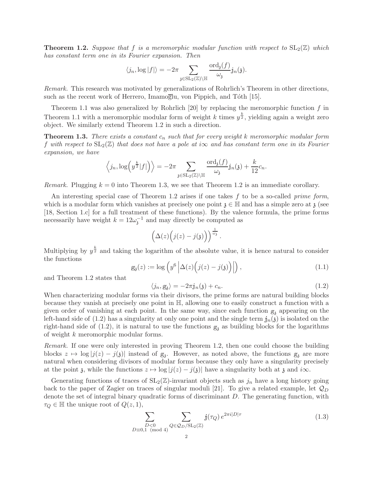**Theorem 1.2.** Suppose that f is a meromorphic modular function with respect to  $SL_2(\mathbb{Z})$  which has constant term one in its Fourier expansion. Then

$$
\langle j_n, \log |f| \rangle = -2\pi \sum_{\mathfrak{z} \in \mathrm{SL}_2(\mathbb{Z}) \backslash \mathbb{H}} \frac{\mathrm{ord}_{\mathfrak{z}}(f)}{\omega_{\mathfrak{z}}} \mathfrak{j}_n(\mathfrak{z}).
$$

Remark. This research was motivated by generalizations of Rohrlich's Theorem in other directions, such as the recent work of Herrero, Imamoglu, von Pippich, and Tóth [15].

Theorem 1.1 was also generalized by Rohrlich [20] by replacing the meromorphic function  $f$  in Theorem 1.1 with a meromorphic modular form of weight k times  $y^{\frac{k}{2}}$ , yielding again a weight zero object. We similarly extend Theorem 1.2 in such a direction.

**Theorem 1.3.** There exists a constant  $c_n$  such that for every weight k meromorphic modular form f with respect to  $SL_2(\mathbb{Z})$  that does not have a pole at i $\infty$  and has constant term one in its Fourier expansion, we have

$$
\langle j_n, \log(y^{\frac{k}{2}}|f|)\rangle = -2\pi \sum_{\mathfrak{z}\in SL_2(\mathbb{Z})\backslash \mathbb{H}} \frac{\text{ord}_{\mathfrak{z}}(f)}{\omega_{\mathfrak{z}}} j_n(\mathfrak{z}) + \frac{k}{12}c_n.
$$

Remark. Plugging  $k = 0$  into Theorem 1.3, we see that Theorem 1.2 is an immediate corollary.

An interesting special case of Theorem 1.2 arises if one takes  $f$  to be a so-called *prime form*, which is a modular form which vanishes at precisely one point  $\chi \in \mathbb{H}$  and has a simple zero at  $\chi$  (see [18, Section 1.c] for a full treatment of these functions). By the valence formula, the prime forms necessarily have weight  $k = 12\omega_j^{-1}$  and may directly be computed as

$$
\left(\Delta(z)\Big(j(z)-j(\mathfrak{z})\Big)\right)^{\frac{1}{\omega_{\mathfrak{z}}}}.
$$

Multiplying by  $y^{\frac{k}{2}}$  and taking the logarithm of the absolute value, it is hence natural to consider the functions

$$
g_{\mathfrak{z}}(z) := \log\left(y^6 \left| \Delta(z) \left(j(z) - j(\mathfrak{z})\right)\right|\right),\tag{1.1}
$$

and Theorem 1.2 states that

$$
\langle j_n, g_3 \rangle = -2\pi j_n(\mathfrak{z}) + c_n. \tag{1.2}
$$

When characterizing modular forms via their divisors, the prime forms are natural building blocks because they vanish at precisely one point in H, allowing one to easily construct a function with a given order of vanishing at each point. In the same way, since each function  $g_3$  appearing on the left-hand side of (1.2) has a singularity at only one point and the single term  $j_n(j)$  is isolated on the right-hand side of  $(1.2)$ , it is natural to use the functions  $g_3$  as building blocks for the logarithms of weight k meromorphic modular forms.

Remark. If one were only interested in proving Theorem 1.2, then one could choose the building blocks  $z \mapsto \log |j(z) - j(\zeta)|$  instead of  $g_3$ . However, as noted above, the functions  $g_3$  are more natural when considering divisors of modular forms because they only have a singularity precisely at the point z, while the functions  $z \mapsto \log |j(z) - j(z)|$  have a singularity both at z and i $\infty$ .

Generating functions of traces of  $SL_2(\mathbb{Z})$ -invariant objects such as  $j_n$  have a long history going back to the paper of Zagier on traces of singular moduli [21]. To give a related example, let  $\mathcal{Q}_D$ denote the set of integral binary quadratic forms of discriminant D. The generating function, with  $\tau_Q \in \mathbb{H}$  the unique root of  $Q(z, 1)$ ,

$$
\sum_{\substack{D<0\\D\equiv 0,1\pmod{4}}} \sum_{Q\in\mathcal{Q}_D/\mathrm{SL}_2(\mathbb{Z})} \mathbb{j}(\tau_Q) e^{2\pi i|D|\tau}
$$
(1.3)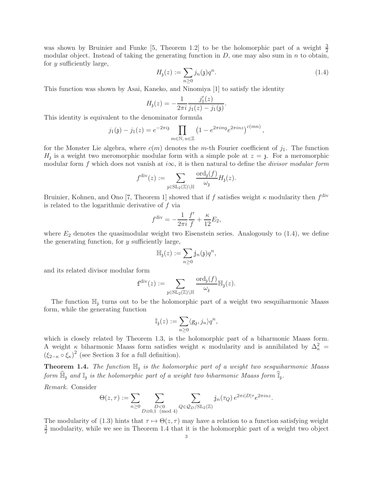was shown by Bruinier and Funke [5, Theorem 1.2] to be the holomorphic part of a weight  $\frac{3}{2}$ modular object. Instead of taking the generating function in  $D$ , one may also sum in  $n$  to obtain, for y sufficiently large,

$$
H_{\mathfrak{z}}(z) := \sum_{n \ge 0} j_n(\mathfrak{z}) q^n. \tag{1.4}
$$

This function was shown by Asai, Kaneko, and Ninomiya [1] to satisfy the identity

$$
H_{\mathfrak{z}}(z) = -\frac{1}{2\pi i} \frac{j'_1(z)}{j_1(z) - j_1(\mathfrak{z})}.
$$

This identity is equivalent to the denominator formula

$$
j_1(\mathfrak{z}) - j_1(z) = e^{-2\pi i \mathfrak{z}} \prod_{m \in \mathbb{N}, n \in \mathbb{Z}} \left(1 - e^{2\pi i m \mathfrak{z}} e^{2\pi i n z}\right)^{c(mn)},
$$

for the Monster Lie algebra, where  $c(m)$  denotes the m-th Fourier coefficient of  $j_1$ . The function  $H_3$  is a weight two meromorphic modular form with a simple pole at  $z = \mathfrak{z}$ . For a meromorphic modular form f which does not vanish at  $i\infty$ , it is then natural to define the *divisor modular form* 

$$
f^{\text{div}}(z) := \sum_{\mathfrak{z} \in \text{SL}_2(\mathbb{Z}) \backslash \mathbb{H}} \frac{\text{ord}_{\mathfrak{z}}(f)}{\omega_{\mathfrak{z}}} H_{\mathfrak{z}}(z).
$$

Bruinier, Kohnen, and Ono [7, Theorem 1] showed that if f satisfies weight  $\kappa$  modularity then  $f^{\text{div}}$ is related to the logarithmic derivative of f via

$$
f^{\text{div}} = -\frac{1}{2\pi i} \frac{f'}{f} + \frac{\kappa}{12} E_2,
$$

where  $E_2$  denotes the quasimodular weight two Eisenstein series. Analogously to  $(1.4)$ , we define the generating function, for  $y$  sufficiently large,

$$
\mathbb{H}_{\mathfrak{z}}(z) := \sum_{n \geq 0} \mathbb{j}_{n}(\mathfrak{z}) q^{n},
$$

and its related divisor modular form

$$
\text{f}^{\text{div}}(z) := \sum_{\mathfrak{z} \in \text{SL}_2(\mathbb{Z}) \backslash \mathbb{H}} \frac{\text{ord}_{\mathfrak{z}}(f)}{\omega_{\mathfrak{z}}} \mathbb{H}_{\mathfrak{z}}(z).
$$

The function  $\mathbb{H}_3$  turns out to be the holomorphic part of a weight two sesquiharmonic Maass form, while the generating function

$$
\mathbb{I}_{\mathfrak{z}}(z) := \sum_{n \geq 0} \langle \mathbf{g}_{\mathfrak{z}}, j_n \rangle q^n,
$$

which is closely related by Theorem 1.3, is the holomorphic part of a biharmonic Maass form. A weight  $\kappa$  biharmonic Maass form satisfies weight  $\kappa$  modularity and is annihilated by  $\Delta_{\kappa}^2$  =  $(\xi_{2-\kappa} \circ \xi_{\kappa})^2$  (see Section 3 for a full definition).

**Theorem 1.4.** The function  $\mathbb{H}$ <sub>i</sub> is the holomorphic part of a weight two sesquiharmonic Maass form  $\widehat{\mathbb{H}}_3$  and  $\mathbb{I}_3$  is the holomorphic part of a weight two biharmonic Maass form  $\widehat{\mathbb{I}}_3$ .

Remark. Consider

$$
\Theta(z,\tau) := \sum_{n\geq 0} \sum_{\substack{D<0\\D\equiv 0,1\pmod 4}} \sum_{Q\in\mathcal{Q}_D/\mathrm{SL}_2(\mathbb{Z})} \mathbb{J}_n(\tau_Q) e^{2\pi i |D|\tau} e^{2\pi i nz}.
$$

The modularity of (1.3) hints that  $\tau \mapsto \Theta(z, \tau)$  may have a relation to a function satisfying weight  $\frac{3}{2}$  modularity, while we see in Theorem 1.4 that it is the holomorphic part of a weight two object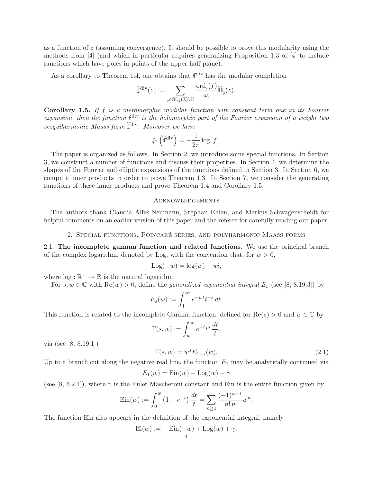as a function of  $z$  (assuming convergence). It should be possible to prove this modularity using the methods from [4] (and which in particular requires generalizing Proposition 1.3 of [4] to include functions which have poles in points of the upper half plane).

As a corollary to Theorem 1.4, one obtains that  $f<sup>div</sup>$  has the modular completion

$$
\widehat{\mathbb{f}}^{\mathrm{div}}(z) := \sum_{\mathfrak{z} \in \mathrm{SL}_2(\mathbb{Z}) \backslash \mathbb{H}} \frac{\mathrm{ord}_{\mathfrak{z}}(f)}{\omega_{\mathfrak{z}}} \widehat{\mathbb{H}}_{\mathfrak{z}}(z).
$$

**Corollary 1.5.** If  $f$  is a meromorphic modular function with constant term one in its Fourier expansion, then the function  $f<sup>div</sup>$  is the holomorphic part of the Fourier expansion of a weight two  $sesquiharmonic\ Mass\ form\ \widehat{\mathbb{f}}^{\text{div}}$ . Moreover we have

$$
\xi_2\left(\widehat{\mathbf{f}}^{\text{div}}\right) = -\frac{1}{2\pi} \log|f|.
$$

The paper is organized as follows. In Section 2, we introduce some special functions. In Section 3, we construct a number of functions and discuss their properties. In Section 4, we determine the shapes of the Fourier and elliptic expansions of the functions defined in Section 3. In Section 6, we compute inner products in order to prove Theorem 1.3. In Section 7, we consider the generating functions of these inner products and prove Theorem 1.4 and Corollary 1.5.

### Acknowledgements

The authors thank Claudia Alfes-Neumann, Stephan Ehlen, and Markus Schwagenscheidt for helpful comments on an earlier version of this paper and the referee for carefully reading our paper.

2. Special functions, Poincar´e series, and polyharmonic Maass forms

2.1. The incomplete gamma function and related functions. We use the principal branch of the complex logarithm, denoted by Log, with the convention that, for  $w > 0$ ,

$$
Log(-w) = log(w) + \pi i,
$$

where  $\log : \mathbb{R}^+ \to \mathbb{R}$  is the natural logarithm.

For  $s, w \in \mathbb{C}$  with  $\text{Re}(w) > 0$ , define the *generalized exponential integral*  $E_s$  (see [8, 8.19.3]) by

$$
E_s(w) := \int_1^{\infty} e^{-wt} t^{-s} dt.
$$

This function is related to the incomplete Gamma function, defined for  $\text{Re}(s) > 0$  and  $w \in \mathbb{C}$  by

$$
\Gamma(s, w) := \int_{w}^{\infty} e^{-t} t^{s} \frac{dt}{t}
$$

via (see [8, 8.19.1])

$$
\Gamma(s, w) = w^s E_{1-s}(w). \tag{2.1}
$$

.

,

Up to a branch cut along the negative real line, the function  $E_1$  may be analytically continued via

$$
E_1(w) = \text{Ein}(w) - \text{Log}(w) - \gamma
$$

(see [8, 6.2.4]), where  $\gamma$  is the Euler-Mascheroni constant and Ein is the entire function given by

$$
Ein(w) := \int_0^w \left(1 - e^{-t}\right) \frac{dt}{t} = \sum_{n \ge 1} \frac{(-1)^{n+1}}{n! n} w^n
$$

The function Ein also appears in the definition of the exponential integral, namely

$$
Ei(w) := -\operatorname{Ein}(-w) + \operatorname{Log}(w) + \gamma.
$$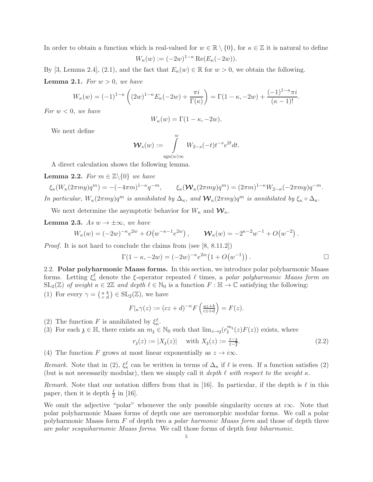In order to obtain a function which is real-valued for  $w \in \mathbb{R} \setminus \{0\}$ , for  $\kappa \in \mathbb{Z}$  it is natural to define

$$
W_{\kappa}(w) := (-2w)^{1-\kappa} \operatorname{Re}(E_{\kappa}(-2w)).
$$

By [3, Lemma 2.4], (2.1), and the fact that  $E_{\kappa}(w) \in \mathbb{R}$  for  $w > 0$ , we obtain the following. **Lemma 2.1.** For  $w > 0$ , we have

$$
W_{\kappa}(w) = (-1)^{1-\kappa} \left( (2w)^{1-\kappa} E_{\kappa}(-2w) + \frac{\pi i}{\Gamma(\kappa)} \right) = \Gamma(1-\kappa, -2w) + \frac{(-1)^{1-\kappa}\pi i}{(\kappa-1)!}.
$$

For  $w < 0$ , we have

$$
W_{\kappa}(w) = \Gamma(1 - \kappa, -2w).
$$

We next define

$$
\mathcal{W}_s(w) := \int_{\text{sgn}(w)\infty}^w W_{2-s}(-t)t^{-s}e^{2t}dt.
$$

A direct calculation shows the following lemma.

**Lemma 2.2.** For  $m \in \mathbb{Z} \backslash \{0\}$  we have

 $\xi_{\kappa}(W_{\kappa}(2\pi my)q^m) = -(-4\pi m)^{1-\kappa}q^{-m}, \qquad \xi_{\kappa}(\mathcal{W}_{\kappa}(2\pi my)q^m) = (2\pi m)^{1-\kappa}W_{2-\kappa}(-2\pi my)q^{-m}.$ In particular,  $W_{\kappa}(2\pi my)q^m$  is annihilated by  $\Delta_{\kappa}$ , and  $\mathcal{W}_{\kappa}(2\pi my)q^m$  is annihilated by  $\xi_{\kappa} \circ \Delta_{\kappa}$ .

We next determine the asymptotic behavior for  $W_{\kappa}$  and  $\mathcal{W}_{\kappa}$ .

**Lemma 2.3.** As  $w \to \pm \infty$ , we have

$$
W_{\kappa}(w) = (-2w)^{-\kappa} e^{2w} + O(w^{-\kappa-1} e^{2w}), \qquad \mathcal{W}_{\kappa}(w) = -2^{\kappa-2} w^{-1} + O(w^{-2}).
$$

Proof. It is not hard to conclude the claims from (see [8, 8.11.2])

$$
\Gamma(1 - \kappa, -2w) = (-2w)^{-\kappa} e^{2w} (1 + O(w^{-1})).
$$

2.2. Polar polyharmonic Maass forms. In this section, we introduce polar polyharmonic Maass forms. Letting  $\xi_{\kappa}^{\ell}$  denote the ξ-operator repeated  $\ell$  times, a polar polyharmonic Maass form on  $SL_2(\mathbb{Z})$  of weight  $\kappa \in 2\mathbb{Z}$  and depth  $\ell \in \mathbb{N}_0$  is a function  $F : \mathbb{H} \to \mathbb{C}$  satisfying the following: (1) For every  $\gamma = \begin{pmatrix} a & b \\ c & d \end{pmatrix} \in SL_2(\mathbb{Z})$ , we have

$$
F|_{\kappa}\gamma(z) := (cz+d)^{-\kappa} F\left(\frac{az+b}{cz+d}\right) = F(z).
$$

- (2) The function F is annihilated by  $\xi_{\kappa}^{\ell}$ .
- (3) For each  $\mathfrak{z} \in \mathbb{H}$ , there exists an  $m_{\mathfrak{z}} \in \mathbb{N}_0$  such that  $\lim_{z \to \mathfrak{z}} (r_{\mathfrak{z}}^{m_{\mathfrak{z}}}(z) F(z))$  exists, where

$$
r_{\mathfrak{z}}(z) := |X_{\mathfrak{z}}(z)| \quad \text{ with } X_{\mathfrak{z}}(z) := \frac{z - \mathfrak{z}}{z - \overline{\mathfrak{z}}}.
$$
 (2.2)

(4) The function F grows at most linear exponentially as  $z \to i\infty$ .

Remark. Note that in (2),  $\xi_{\kappa}^{\ell}$  can be written in terms of  $\Delta_{\kappa}$  if  $\ell$  is even. If a function satisfies (2) (but is not necessarily modular), then we simply call it depth  $\ell$  with respect to the weight  $\kappa$ .

Remark. Note that our notation differs from that in [16]. In particular, if the depth is  $\ell$  in this paper, then it is depth  $\frac{\ell}{2}$  in [16].

We omit the adjective "polar" whenever the only possible singularity occurs at  $i\infty$ . Note that polar polyharmonic Maass forms of depth one are meromorphic modular forms. We call a polar polyharmonic Maass form F of depth two a polar harmonic Maass form and those of depth three are polar sesquiharmonic Maass forms. We call those forms of depth four biharmonic.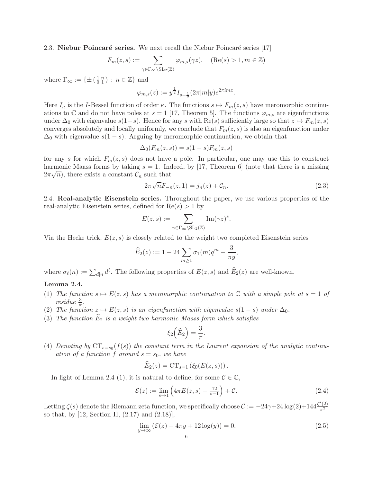2.3. Niebur Poincaré series. We next recall the Niebur Poincaré series [17]

$$
F_m(z,s) := \sum_{\gamma \in \Gamma_\infty \backslash \mathrm{SL}_2(\mathbb{Z})} \varphi_{m,s}(\gamma z), \quad (\mathrm{Re}(s) > 1, m \in \mathbb{Z})
$$

where  $\Gamma_{\infty} := \{ \pm \left( \begin{smallmatrix} 1 & n \\ 0 & 1 \end{smallmatrix} \right) : n \in \mathbb{Z} \}$  and

$$
\varphi_{m,s}(z) := y^{\frac{1}{2}} I_{s-\frac{1}{2}}(2\pi |m|y)e^{2\pi imx}.
$$

Here  $I_{\kappa}$  is the I-Bessel function of order  $\kappa$ . The functions  $s \mapsto F_m(z, s)$  have meromorphic continuations to C and do not have poles at  $s = 1$  [17, Theorem 5]. The functions  $\varphi_{m,s}$  are eigenfunctions under  $\Delta_0$  with eigenvalue  $s(1-s)$ . Hence for any s with Re(s) sufficiently large so that  $z \mapsto F_m(z, s)$ converges absolutely and locally uniformly, we conclude that  $F_m(z, s)$  is also an eigenfunction under  $\Delta_0$  with eigenvalue  $s(1-s)$ . Arguing by meromorphic continuation, we obtain that

$$
\Delta_0(F_m(z,s)) = s(1-s)F_m(z,s)
$$

for any s for which  $F_m(z, s)$  does not have a pole. In particular, one may use this to construct harmonic Maass forms by taking  $s = 1$ . Indeed, by [17, Theorem 6] (note that there is a missing  $(2\pi\sqrt{n})$ , there exists a constant  $\mathcal{C}_n$  such that

$$
2\pi\sqrt{n}F_{-n}(z,1) = j_n(z) + C_n.
$$
\n(2.3)

2.4. Real-analytic Eisenstein series. Throughout the paper, we use various properties of the real-analytic Eisenstein series, defined for  $Re(s) > 1$  by

$$
E(z,s) := \sum_{\gamma \in \Gamma_{\infty} \backslash \mathrm{SL}_2(\mathbb{Z})} \mathrm{Im}(\gamma z)^s.
$$

Via the Hecke trick,  $E(z, s)$  is closely related to the weight two completed Eisenstein series

$$
\widehat{E}_2(z) := 1 - 24 \sum_{m \ge 1} \sigma_1(m) q^m - \frac{3}{\pi y},
$$

where  $\sigma_{\ell}(n) := \sum_{d|n} d^{\ell}$ . The following properties of  $E(z, s)$  and  $\widehat{E}_2(z)$  are well-known.

# Lemma 2.4.

- (1) The function  $s \mapsto E(z, s)$  has a meromorphic continuation to C with a simple pole at  $s = 1$  of residue  $\frac{3}{\pi}$ .
- (2) The function  $z \mapsto E(z, s)$  is an eigenfunction with eigenvalue  $s(1 s)$  under  $\Delta_0$ .
- (3) The function  $\widehat{E}_2$  is a weight two harmonic Maass form which satisfies

$$
\xi_2\left(\widehat{E}_2\right) = \frac{3}{\pi}.
$$

(4) Denoting by  $CT_{s=s_0}(f(s))$  the constant term in the Laurent expansion of the analytic continuation of a function f around  $s = s_0$ , we have

$$
\widehat{E}_2(z) = CT_{s=1} \left( \xi_0(E(z, s)) \right).
$$

In light of Lemma 2.4 (1), it is natural to define, for some  $C \in \mathbb{C}$ ,

$$
\mathcal{E}(z) := \lim_{s \to 1} \left( 4\pi E(z, s) - \frac{12}{s - 1} \right) + \mathcal{C}.
$$
\n(2.4)

Letting  $\zeta(s)$  denote the Riemann zeta function, we specifically choose  $\mathcal{C} := -24\gamma + 24\log(2) + 144\frac{\zeta'(2)}{\pi^2}$  $\pi^2$ so that, by [12, Section II, (2.17) and (2.18)],

$$
\lim_{y \to \infty} \left( \mathcal{E}(z) - 4\pi y + 12\log(y) \right) = 0. \tag{2.5}
$$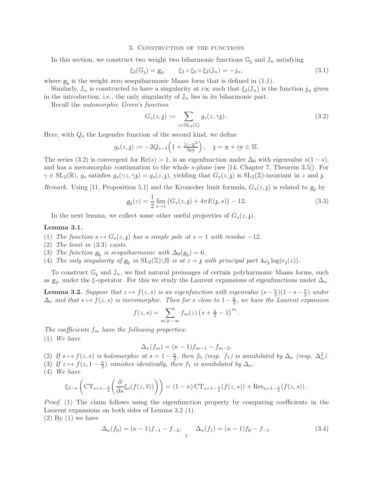#### 3. Construction of the functions

In this section, we construct two weight two biharmonic functions  $\mathbb{G}_3$  and  $\mathbb{J}_n$  satisfying

$$
\xi_2(\mathbb{G}_3) = g_3, \qquad \xi_2 \circ \xi_0 \circ \xi_2(\mathbb{J}_n) = -j_n,\tag{3.1}
$$

where  $g_{\mathfrak{z}}$  is the weight zero sesquiharmonic Maass form that is defined in  $(1.1)$ .

Similarly,  $\mathbb{J}_n$  is constructed to have a singularity at  $i\infty$  such that  $\xi_2(\mathbb{J}_n)$  is the function  $\mathbb{J}_n$  given in the introduction, i.e., the only singularity of  $\mathbb{J}_n$  lies in its biharmonic part.

Recall the automorphic Green's function

$$
G_s(z, \mathfrak{z}) := \sum_{\gamma \in \text{SL}_2(\mathbb{Z})} g_s(z, \gamma \mathfrak{z}). \tag{3.2}
$$

Here, with  $Q_s$  the Legendre function of the second kind, we define

$$
g_s(z, \mathfrak{z}) := -2Q_{s-1}\left(1 + \frac{|z-\mathfrak{z}|^2}{2yy}\right), \quad \mathfrak{z} = x + iy \in \mathbb{H}.
$$

The series (3.2) is convergent for  $\text{Re}(s) > 1$ , is an eigenfunction under  $\Delta_0$  with eigenvalue  $s(1-s)$ , and has a meromorphic continuation to the whole s-plane (see [14, Chapter 7, Theorem 3.5]). For  $\gamma \in SL_2(\mathbb{R})$ ,  $g_s$  satisfies  $g_s(\gamma z, \gamma \mathfrak{z}) = g_s(z, \mathfrak{z})$ , yielding that  $G_s(z, \mathfrak{z})$  is  $SL_2(\mathbb{Z})$ -invariant in z and  $\mathfrak{z}$ .

*Remark.* Using [11, Proposition 5.1] and the Kronecker limit formula,  $G_s(z, \mathfrak{z})$  is related to  $g_i$  by

$$
g_{\mathfrak{z}}(z) = \frac{1}{2} \lim_{s \to 1} \left( G_s(z, \mathfrak{z}) + 4\pi E(\mathfrak{z}, s) \right) - 12. \tag{3.3}
$$

In the next lemma, we collect some other useful properties of  $G_s(z, z)$ .

### Lemma 3.1.

- (1) The function  $s \mapsto G_s(z,\mathfrak{z})$  has a simple pole at  $s = 1$  with residue -12.
- (2) The limit in (3.3) exists.
- (3) The function  $g_3$  is sesquiharmonic with  $\Delta_0(g_3) = 6$ .
- (4) The only singularity of  $g_3$  in  $SL_2(\mathbb{Z})\backslash\mathbb{H}$  is at  $z = 3$  with principal part  $4\omega_3 \log(r_3(z))$ .

To construct  $\mathbb{G}_3$  and  $\mathbb{J}_n$ , we find natural preimages of certain polyharmonic Maass forms, such as  $g_3$ , under the ξ-operator. For this we study the Laurent expansions of eigenfunctions under  $\Delta_{\kappa}$ .

**Lemma 3.2.** Suppose that  $z \mapsto f(z, s)$  is an eigenfunction with eigenvalue  $(s - \frac{\kappa}{2})$  $\frac{\kappa}{2}$ )(1 – s –  $\frac{\kappa}{2}$  $\frac{\kappa}{2}$ ) under  $\Delta_{\kappa}$  and that  $s \mapsto f(z, s)$  is meromorphic. Then for s close to  $1-\frac{\kappa}{2}$  $\frac{\kappa}{2}$ , we have the Laurent expansion

$$
f(z,s) = \sum_{m \gg -\infty} f_m(z) \left(s + \frac{\kappa}{2} - 1\right)^m.
$$

The coefficients  $f_m$  have the following properties:

(1) We have

$$
\Delta_{\kappa}(f_m)=(\kappa-1)f_{m-1}-f_{m-2}.
$$

(2) If  $s \mapsto f(z, s)$  is holomorphic at  $s = 1 - \frac{\kappa}{2}$  $\frac{\kappa}{2}$ , then  $f_0$  (resp.  $f_1$ ) is annihilated by  $\Delta_{\kappa}$  (resp.  $\Delta_{\kappa}^2$ ). (3) If  $z \mapsto f(z, 1 - \frac{\kappa}{2})$  $\frac{\kappa}{2}$ ) vanishes identically, then  $f_1$  is annihilated by  $\Delta_{\kappa}$ .

(4) We have

$$
\xi_{2-\kappa}\left(\mathrm{CT}_{s=1-\frac{\kappa}{2}}\left(\frac{\partial}{\partial s}\xi_{\kappa}(f(z,\overline{s}))\right)\right)=(1-\kappa)\,\mathrm{CT}_{s=1-\frac{\kappa}{2}}(f(z,s))+\mathrm{Res}_{s=1-\frac{\kappa}{2}}(f(z,s)).
$$

Proof. (1) The claim follows using the eigenfunction property by comparing coefficients in the Laurent expansions on both sides of Lemma 3.2 (1).

 $(2)$  By  $(1)$  we have

$$
\Delta_{\kappa}(f_0) = (\kappa - 1)f_{-1} - f_{-2}, \qquad \Delta_{\kappa}(f_1) = (\kappa - 1)f_0 - f_{-1}.
$$
\n(3.4)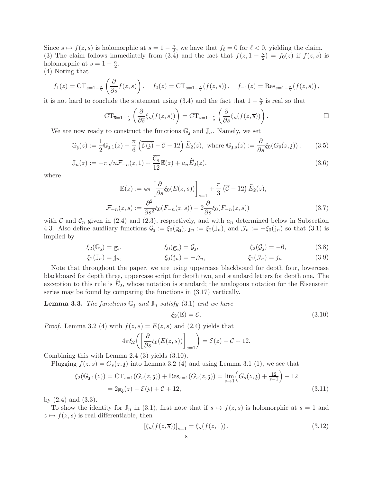Since  $s \mapsto f(z, s)$  is holomorphic at  $s = 1 - \frac{\kappa}{2}$  $\frac{\kappa}{2}$ , we have that  $f_{\ell} = 0$  for  $\ell < 0$ , yielding the claim. (3) The claim follows immediately from (3.4) and the fact that  $f(z, 1-\frac{\kappa}{2})$  $\frac{\kappa}{2}$ ) =  $f_0(z)$  if  $f(z, s)$  is holomorphic at  $s = 1 - \frac{\kappa}{2}$  $\frac{\kappa}{2}$ .

(4) Noting that

$$
f_1(z) = CT_{s=1-\frac{\kappa}{2}}\left(\frac{\partial}{\partial s}f(z,s)\right), \quad f_0(z) = CT_{s=1-\frac{\kappa}{2}}(f(z,s)), \quad f_{-1}(z) = \text{Res}_{s=1-\frac{\kappa}{2}}(f(z,s)),
$$

it is not hard to conclude the statement using (3.4) and the fact that  $1 - \frac{\kappa}{2}$  $\frac{\kappa}{2}$  is real so that

$$
CT_{\overline{s}=1-\frac{\kappa}{2}}\left(\frac{\partial}{\partial \overline{s}}\xi_{\kappa}(f(z,s))\right)=CT_{s=1-\frac{\kappa}{2}}\left(\frac{\partial}{\partial s}\xi_{\kappa}(f(z,\overline{s}))\right).
$$

We are now ready to construct the functions  $\mathbb{G}_3$  and  $\mathbb{J}_n$ . Namely, we set

$$
\mathbb{G}_{\mathfrak{z}}(z) := \frac{1}{2} \mathbb{G}_{\mathfrak{z},1}(z) + \frac{\pi}{6} \left( \overline{\mathcal{E}(\mathfrak{z})} - \overline{\mathcal{C}} - 12 \right) \widehat{E}_2(z), \text{ where } \mathbb{G}_{\mathfrak{z},s}(z) := \frac{\partial}{\partial s} \xi_0(G_{\overline{s}}(z,\mathfrak{z})),\tag{3.5}
$$

$$
\mathbb{J}_n(z) := -\pi \sqrt{n} \mathcal{F}_{-n}(z,1) + \frac{\mathcal{C}_n}{12} \mathbb{E}(z) + a_n \widehat{E}_2(z), \tag{3.6}
$$

where

$$
\mathbb{E}(z) := 4\pi \left[ \frac{\partial}{\partial s} \xi_0(E(z, \overline{s})) \right]_{s=1} + \frac{\pi}{3} \left( \overline{\mathcal{C}} - 12 \right) \widehat{E}_2(z),
$$
  

$$
\mathcal{F}_{-n}(z, s) := \frac{\partial^2}{\partial s^2} \xi_0(F_{-n}(z, \overline{s})) - 2 \frac{\partial}{\partial s} \xi_0(F_{-n}(z, \overline{s}))
$$
(3.7)

with  $\mathcal C$  and  $\mathcal C_n$  given in (2.4) and (2.3), respectively, and with  $a_n$  determined below in Subsection 4.3. Also define auxiliary functions  $\mathcal{G}_3 := \xi_0(\mathcal{g}_3)$ ,  $j_n := \xi_2(\mathbb{J}_n)$ , and  $\mathcal{J}_n := -\xi_0(j_n)$  so that  $(3.1)$  is implied by

$$
\xi_2(\mathbb{G}_3) = g_3,
$$
  $\xi_0(g_3) = \mathcal{G}_3,$   $\xi_2(\mathcal{G}_3) = -6,$  (3.8)

$$
\xi_2(\mathbb{J}_n) = \mathbb{j}_n, \qquad \xi_0(\mathbb{j}_n) = -\mathcal{J}_n, \qquad \xi_2(\mathcal{J}_n) = \mathbb{j}_n. \tag{3.9}
$$

Note that throughout the paper, we are using uppercase blackboard for depth four, lowercase blackboard for depth three, uppercase script for depth two, and standard letters for depth one. The exception to this rule is  $E_2$ , whose notation is standard; the analogous notation for the Eisenstein series may be found by comparing the functions in (3.17) vertically.

**Lemma 3.3.** The functions  $\mathbb{G}_3$  and  $\mathbb{J}_n$  satisfy (3.1) and we have

$$
\xi_2(\mathbb{E}) = \mathcal{E}.\tag{3.10}
$$

*Proof.* Lemma 3.2 (4) with  $f(z, s) = E(z, s)$  and (2.4) yields that

$$
4\pi \xi_2 \bigg( \bigg[ \frac{\partial}{\partial s} \xi_0(E(z, \overline{s})) \bigg]_{s=1} \bigg) = \mathcal{E}(z) - \mathcal{C} + 12.
$$

Combining this with Lemma 2.4 (3) yields (3.10).

Plugging  $f(z, s) = G_s(z, \mathfrak{z})$  into Lemma 3.2 (4) and using Lemma 3.1 (1), we see that

$$
\xi_2(\mathbb{G}_{3,1}(z)) = \text{CT}_{s=1}(G_s(z,3)) + \text{Res}_{s=1}(G_s(z,3)) = \lim_{s \to 1} \left( G_s(z,3) + \frac{12}{s-1} \right) - 12
$$
  
= 2g<sub>3</sub>(z) - \mathcal{E}(3) + \mathcal{C} + 12, (3.11)

by  $(2.4)$  and  $(3.3)$ .

To show the identity for  $\mathbb{J}_n$  in (3.1), first note that if  $s \mapsto f(z, s)$  is holomorphic at  $s = 1$  and  $z \mapsto f(z, s)$  is real-differentiable, then

$$
[\xi_{\kappa}(f(z,\overline{s}))]_{s=1} = \xi_{\kappa}(f(z,1)).
$$
\n(3.12)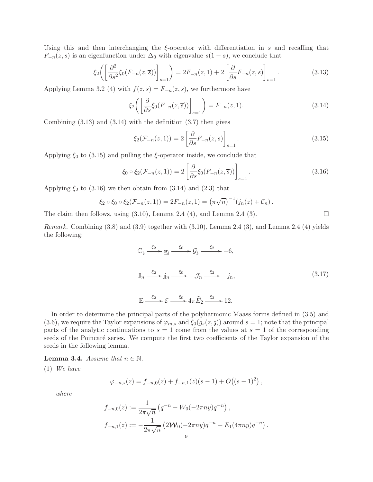Using this and then interchanging the  $\xi$ -operator with differentiation in s and recalling that  $F_{-n}(z, s)$  is an eigenfunction under  $\Delta_0$  with eigenvalue  $s(1-s)$ , we conclude that

$$
\xi_2\left(\left[\frac{\partial^2}{\partial s^2}\xi_0(F_{-n}(z,\overline{s}))\right]_{s=1}\right) = 2F_{-n}(z,1) + 2\left[\frac{\partial}{\partial s}F_{-n}(z,s)\right]_{s=1}.\tag{3.13}
$$

Applying Lemma 3.2 (4) with  $f(z, s) = F_{-n}(z, s)$ , we furthermore have

$$
\xi_2\left(\left[\frac{\partial}{\partial s}\xi_0(F_{-n}(z,\overline{s}))\right]_{s=1}\right) = F_{-n}(z,1). \tag{3.14}
$$

Combining  $(3.13)$  and  $(3.14)$  with the definition  $(3.7)$  then gives

$$
\xi_2(\mathcal{F}_{-n}(z,1)) = 2 \left[ \frac{\partial}{\partial s} F_{-n}(z,s) \right]_{s=1}.
$$
\n(3.15)

Applying  $\xi_0$  to (3.15) and pulling the  $\xi$ -operator inside, we conclude that

$$
\xi_0 \circ \xi_2(\mathcal{F}_{-n}(z,1)) = 2 \left[ \frac{\partial}{\partial s} \xi_0(F_{-n}(z,\overline{s})) \right]_{s=1}.
$$
\n(3.16)

Applying  $\xi_2$  to (3.16) we then obtain from (3.14) and (2.3) that

$$
\xi_2 \circ \xi_0 \circ \xi_2(\mathcal{F}_{-n}(z,1)) = 2F_{-n}(z,1) = (\pi \sqrt{n})^{-1} (j_n(z) + C_n).
$$

The claim then follows, using  $(3.10)$ , Lemma 2.4  $(4)$ , and Lemma 2.4  $(3)$ .

Remark. Combining (3.8) and (3.9) together with (3.10), Lemma 2.4 (3), and Lemma 2.4 (4) yields the following:

$$
\mathbb{G}_{\mathfrak{z}} \xrightarrow{\xi_2} \mathbf{g}_{\mathfrak{z}} \xrightarrow{\xi_0} \mathcal{G}_{\mathfrak{z}} \xrightarrow{\xi_2} -6,
$$
  

$$
\mathbb{J}_n \xrightarrow{\xi_2} \mathbf{j}_n \xrightarrow{\xi_0} -\mathcal{J}_n \xrightarrow{\xi_2} -j_n,
$$
  

$$
\mathbb{E} \xrightarrow{\xi_2} \mathcal{E} \xrightarrow{\xi_0} 4\pi \widehat{E}_2 \xrightarrow{\xi_2} 12.
$$
 (3.17)

In order to determine the principal parts of the polyharmonic Maass forms defined in (3.5) and (3.6), we require the Taylor expansions of  $\varphi_{m,s}$  and  $\xi_0(g_s(z,\zeta))$  around  $s=1$ ; note that the principal parts of the analytic continuations to  $s = 1$  come from the values at  $s = 1$  of the corresponding seeds of the Poincaré series. We compute the first two coefficients of the Taylor expansion of the seeds in the following lemma.

**Lemma 3.4.** Assume that  $n \in \mathbb{N}$ .

(1) We have

$$
\varphi_{-n,s}(z) = f_{-n,0}(z) + f_{-n,1}(z)(s-1) + O((s-1)^2),
$$

where

$$
f_{-n,0}(z) := \frac{1}{2\pi\sqrt{n}} \left( q^{-n} - W_0(-2\pi ny)q^{-n} \right),
$$
  

$$
f_{-n,1}(z) := -\frac{1}{2\pi\sqrt{n}} \left( 2\mathcal{W}_0(-2\pi ny)q^{-n} + E_1(4\pi ny)q^{-n} \right).
$$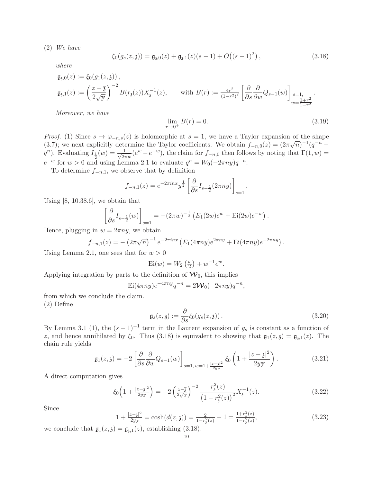(2) We have

$$
\xi_0(g_s(z,\mathfrak{z})) = \mathfrak{g}_{\mathfrak{z},0}(z) + \mathfrak{g}_{\mathfrak{z},1}(z)(s-1) + O((s-1)^2) \,, \tag{3.18}
$$

where

$$
\begin{aligned} \mathfrak{g}_{\mathfrak{z},0}(z) &:= \xi_0(g_1(z,\mathfrak{z}))\,,\\ \mathfrak{g}_{\mathfrak{z},1}(z) &:= \left(\frac{z-\overline{\mathfrak{z}}}{2\sqrt{y}}\right)^{-2}B(r_{\mathfrak{z}}(z))X_{\mathfrak{z}}^{-1}(z),\qquad \text{with } B(r):= \frac{4r^2}{(1-r^2)^2}\left[\frac{\partial}{\partial s}\frac{\partial}{\partial w}Q_{s-1}(w)\right]_{\substack{s=1,\\w=\frac{1+r^2}{1-r^2}}}.\end{aligned}
$$

Moreover, we have

$$
\lim_{r \to 0^+} B(r) = 0. \tag{3.19}
$$

*Proof.* (1) Since  $s \mapsto \varphi_{-n,s}(z)$  is holomorphic at  $s = 1$ , we have a Taylor expansion of the shape (3.7); we next explicitly determine the Taylor coefficients. We obtain  $f_{-n,0}(z) = (2\pi\sqrt{n})^{-1}(q^{-n} - z)$  $\overline{q}^n$ ). Evaluating  $I_{\frac{1}{2}}(w) = \frac{1}{\sqrt{2n}}$  $\frac{1}{2\pi w}(e^w - e^{-w}),$  the claim for  $f_{-n,0}$  then follows by noting that  $\Gamma(1, w) =$  $e^{-w}$  for  $w > 0$  and using Lemma 2.1 to evaluate  $\overline{q}^n = W_0(-2\pi ny)q^{-n}$ .

To determine  $f_{-n,1}$ , we observe that by definition

$$
f_{-n,1}(z) = e^{-2\pi i n x} y^{\frac{1}{2}} \left[ \frac{\partial}{\partial s} I_{s-\frac{1}{2}}(2\pi n y) \right]_{s=1}.
$$

Using  $[8, 10.38.6]$ , we obtain that

$$
\left[\frac{\partial}{\partial s}I_{s-\frac{1}{2}}(w)\right]_{s=1} = -(2\pi w)^{-\frac{1}{2}} \left(E_1(2w)e^w + \text{Ei}(2w)e^{-w}\right).
$$

Hence, plugging in  $w = 2\pi ny$ , we obtain

$$
f_{-n,1}(z) = -\left(2\pi\sqrt{n}\right)^{-1}e^{-2\pi inx}\left(E_1(4\pi ny)e^{2\pi ny} + \text{Ei}(4\pi ny)e^{-2\pi ny}\right).
$$

Using Lemma 2.1, one sees that for  $w > 0$ 

$$
\mathrm{Ei}(w) = W_2\left(\frac{w}{2}\right) + w^{-1}e^w.
$$

Applying integration by parts to the definition of  $\mathcal{W}_0$ , this implies

$$
\mathrm{Ei}(4\pi ny)e^{-4\pi ny}q^{-n} = 2\mathcal{W}_0(-2\pi ny)q^{-n},
$$

from which we conclude the claim.

(2) Define

$$
\mathfrak{g}_s(z,\mathfrak{z}) := \frac{\partial}{\partial s} \xi_0(g_s(z,\mathfrak{z}))\,. \tag{3.20}
$$

By Lemma 3.1 (1), the  $(s-1)^{-1}$  term in the Laurent expansion of  $g_s$  is constant as a function of z, and hence annihilated by  $\xi_0$ . Thus (3.18) is equivalent to showing that  $\mathfrak{g}_1(z,\mathfrak{z}) = \mathfrak{g}_{\mathfrak{z},1}(z)$ . The chain rule yields

$$
\mathfrak{g}_1(z,\mathfrak{z}) = -2 \left[ \frac{\partial}{\partial s} \frac{\partial}{\partial w} Q_{s-1}(w) \right]_{s=1, w=1+\frac{|z-\mathfrak{z}|^2}{2yy}} \xi_0 \left( 1 + \frac{|z-\mathfrak{z}|^2}{2yy} \right). \tag{3.21}
$$

A direct computation gives

$$
\xi_0 \left( 1 + \frac{|z - \mathfrak{z}|^2}{2yy} \right) = -2 \left( \frac{z - \overline{\mathfrak{z}}}{2\sqrt{y}} \right)^{-2} \frac{r_\mathfrak{z}^2(z)}{\left( 1 - r_\mathfrak{z}^2(z) \right)^2} X_\mathfrak{z}^{-1}(z). \tag{3.22}
$$

Since

$$
1 + \frac{|z - \mathfrak{z}|^2}{2yy} = \cosh(d(z, \mathfrak{z})) = \frac{2}{1 - r_{\mathfrak{z}}^2(z)} - 1 = \frac{1 + r_{\mathfrak{z}}^2(z)}{1 - r_{\mathfrak{z}}^2(z)},\tag{3.23}
$$

we conclude that  $\mathfrak{g}_1(z,\mathfrak{z}) = \mathfrak{g}_{\mathfrak{z},1}(z)$ , establishing (3.18).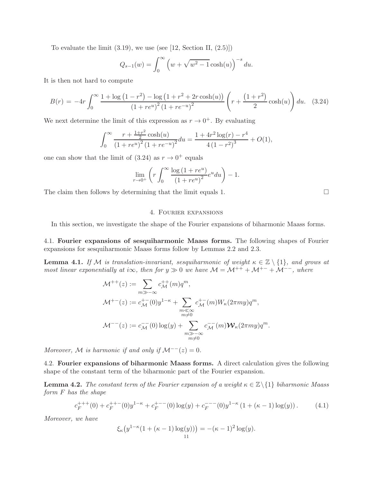To evaluate the limit  $(3.19)$ , we use (see [12, Section II,  $(2.5)$ ])

$$
Q_{s-1}(w) = \int_0^\infty (w + \sqrt{w^2 - 1} \cosh(u))^{-s} du.
$$

It is then not hard to compute

$$
B(r) = -4r \int_0^\infty \frac{1 + \log(1 - r^2) - \log(1 + r^2 + 2r \cosh(u))}{(1 + re^u)^2 (1 + re^{-u})^2} \left( r + \frac{(1 + r^2)}{2} \cosh(u) \right) du. \quad (3.24)
$$

We next determine the limit of this expression as  $r \to 0^+$ . By evaluating

$$
\int_0^\infty \frac{r + \frac{1+r^2}{2}\cosh(u)}{(1+re^u)^2(1+re^{-u})^2} du = \frac{1+4r^2\log(r)-r^4}{4(1-r^2)^3} + O(1),
$$

one can show that the limit of  $(3.24)$  as  $r \to 0^+$  equals

$$
\lim_{r \to 0^+} \left( r \int_0^\infty \frac{\log \left( 1 + re^u \right)}{\left( 1 + re^u \right)^2} e^u du \right) - 1.
$$

The claim then follows by determining that the limit equals 1.  $\Box$ 

## 4. Fourier expansions

In this section, we investigate the shape of the Fourier expansions of biharmonic Maass forms.

4.1. Fourier expansions of sesquiharmonic Maass forms. The following shapes of Fourier expansions for sesquiharmonic Maass forms follow by Lemmas 2.2 and 2.3.

**Lemma 4.1.** If M is translation-invariant, sesquiharmonic of weight  $\kappa \in \mathbb{Z} \setminus \{1\}$ , and grows at most linear exponentially at i $\infty$ , then for  $y \gg 0$  we have  $\mathcal{M} = \mathcal{M}^{++} + \mathcal{M}^{+-} + \mathcal{M}^{--}$ , where

$$
\mathcal{M}^{++}(z) := \sum_{m \gg -\infty} c_{\mathcal{M}}^{++}(m) q^m,
$$
  

$$
\mathcal{M}^{+-}(z) := c_{\mathcal{M}}^{+-}(0) y^{1-\kappa} + \sum_{\substack{m \ll \infty \\ m \neq 0}} c_{\mathcal{M}}^{+-}(m) W_{\kappa}(2\pi my) q^m,
$$
  

$$
\mathcal{M}^{--}(z) := c_{\mathcal{M}}^{--}(0) \log(y) + \sum_{\substack{m \gg -\infty \\ m \neq 0}} c_{\mathcal{M}}^{--}(m) \mathcal{W}_{\kappa}(2\pi my) q^m.
$$

Moreover, M is harmonic if and only if  $\mathcal{M}^{--}(z) = 0$ .

4.2. Fourier expansions of biharmonic Maass forms. A direct calculation gives the following shape of the constant term of the biharmonic part of the Fourier expansion.

**Lemma 4.2.** The constant term of the Fourier expansion of a weight  $\kappa \in \mathbb{Z}\backslash\{1\}$  biharmonic Maass form F has the shape

$$
c_F^{+++}(0) + c_F^{+++}(0)y^{1-\kappa} + c_F^{+--}(0)\log(y) + c_F^{---}(0)y^{1-\kappa}(1+(\kappa-1)\log(y)). \tag{4.1}
$$

Moreover, we have

$$
\xi_{\kappa}(y^{1-\kappa}(1+(\kappa-1)\log(y))) = -(\kappa-1)^2 \log(y).
$$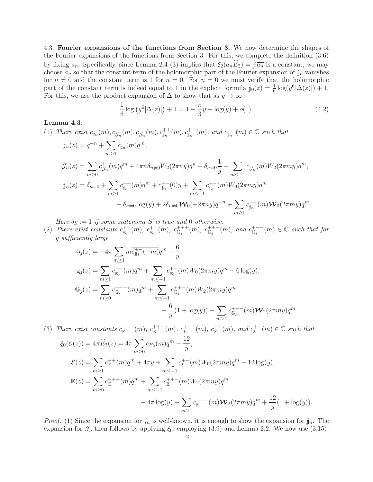4.3. Fourier expansions of the functions from Section 3. We now determine the shapes of the Fourier expansions of the functions from Section 3. For this, we complete the definition (3.6) by fixing  $a_n$ . Specifically, since Lemma 2.4 (3) implies that  $\xi_2(a_n\widehat{E}_2) = \frac{3}{\pi}\overline{a_n}$  is a constant, we may choose  $a_n$  so that the constant term of the holomorphic part of the Fourier expansion of  $\mathbf{j}_n$  vanishes for  $n \neq 0$  and the constant term is 1 for  $n = 0$ . For  $n = 0$  we must verify that the holomorphic part of the constant term is indeed equal to 1 in the explicit formula  $j_0(z) = \frac{1}{6} \log(y^6 |\Delta(z)|) + 1$ . For this, we use the product expansion of  $\Delta$  to show that as  $y \to \infty$ 

$$
\frac{1}{6}\log (y^6|\Delta(z)|) + 1 = 1 - \frac{\pi}{3}y + \log(y) + o(1).
$$
 (4.2)

### Lemma 4.3.

(1) There exist  $c_{j_n}(m)$ ,  $c_{\mathcal{J}_n}^+(m)$ ,  $c_{j_n}^{++}(m)$ ,  $c_{j_n}^{++}(m)$ , and  $c_{j_n}^{--}(m) \in \mathbb{C}$  such that

$$
j_n(z) = q^{-n} + \sum_{m\geq 1} c_{j_n}(m)q^m,
$$
  
\n
$$
\mathcal{J}_n(z) = \sum_{m\geq 0} c_{\mathcal{J}_n}^+(m)q^m + 4\pi n \delta_{n\neq 0} W_2(2\pi n y)q^n - \delta_{n=0} \frac{1}{y} + \sum_{m\leq -1} c_{\mathcal{J}_n}^-(m) W_2(2\pi m y)q^m,
$$
  
\n
$$
j_n(z) = \delta_{n=0} + \sum_{m\geq 1} c_{j_n}^{++}(m)q^m + c_{j_n}^{+-}(0)y + \sum_{m\leq -1} c_{j_n}^{+-}(m) W_0(2\pi m y)q^m
$$
  
\n
$$
+ \delta_{n=0} \log(y) + 2\delta_{n\neq 0} \mathcal{W}_0(-2\pi n y)q^{-n} + \sum_{m\geq 1} c_{j_n}^{--}(m) \mathcal{W}_0(2\pi m y)q^m.
$$

Here  $\delta_S := 1$  if some statement S is true and 0 otherwise.

(2) There exist constants  $c_{g_3}^{++}(m)$ ,  $c_{g_3}^{+-}(m)$ ,  $c_{g_4}^{++}(m)$ ,  $c_{g_5}^{++-}(m)$ , and  $c_{g_5}^{+--}(m) \in \mathbb{C}$  such that for y sufficiently large

$$
G_{3}(z) = -4\pi \sum_{m\geq 1} m \overline{c_{g_{3}}^{+-}(-m)} q^{m} + \frac{6}{y},
$$
  
\n
$$
g_{3}(z) = \sum_{m\geq 1} c_{g_{3}}^{++}(m) q^{m} + \sum_{m\leq -1} c_{g_{3}}^{+-}(m) W_{0}(2\pi my) q^{m} + 6 \log(y),
$$
  
\n
$$
\mathbb{G}_{3}(z) = \sum_{m\geq 0} c_{g_{3}}^{+++}(m) q^{m} + \sum_{m\leq -1} c_{g_{3}}^{++-}(m) W_{2}(2\pi my) q^{m}
$$
  
\n
$$
- \frac{6}{y} (1 + \log(y)) + \sum_{m\geq 1} c_{g_{3}}^{+--}(m) \mathbb{W}_{2}(2\pi my) q^{m}.
$$

(3) There exist constants  $c_{\mathbb{E}}^{+++}(m)$ ,  $c_{\mathbb{E}}^{++-}(m)$ ,  $c_{\mathbb{E}}^{+--}(m)$ ,  $c_{\mathcal{E}}^{++-}$  $\varepsilon^{++}(m)$ , and  $c_{\mathcal{E}}^{+-}$  $\mathcal{E}^+(m) \in \mathbb{C}$  such that  $\xi_0(\mathcal{E}(z)) = 4\pi \widehat{E}_2(z) = 4\pi \sum$  $m \geq 0$  $c_{E_2}(m)q^m - \frac{12}{u}$  $\frac{y}{y}$ ,  $\mathcal{E}(z) = \sum$  $m \geq 1$  $c_{\mathcal{E}}^{++}$  $E^{++}(m)q^m + 4\pi y + \sum$  $m \leq -1$  $c_{\mathcal{E}}^{+-}$  $E^{+}$  (m)  $W_0(2\pi my)q^m - 12\log(y)$ ,  $\mathbb{E}(z) = \sum$  $m \geq 0$  $c_{\mathbb{E}}^{+++}(m)q^m + \sum$  $m \leq -1$  $c_{\mathbb{E}}^{++-}(m)W_2(2\pi my)q^m$  $+4\pi \log(y)+\sum$  $m \geq 1$  $c_{\mathbb{E}}^{+--}(m)\bm{\mathcal{W}}_2(2\pi my)q^m+\frac{12}{m}$  $\frac{dy}{y}(1+\log(y)).$ 

*Proof.* (1) Since the expansion for  $j_n$  is well-known, it is enough to show the expansion for  $j_n$ . The expansion for  $\mathcal{J}_n$  then follows by applying  $\xi_0$ , employing (3.9) and Lemma 2.2. We now use (3.15),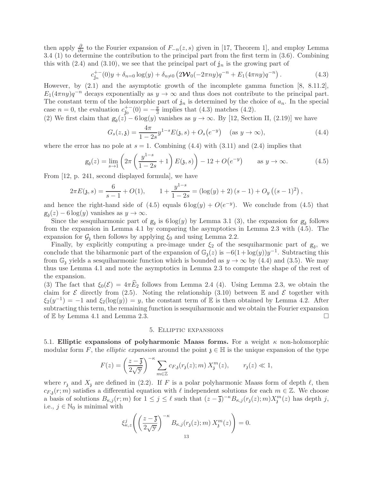then apply  $\frac{\partial}{\partial s}$  to the Fourier expansion of  $F_{-n}(z, s)$  given in [17, Theorem 1], and employ Lemma 3.4 (1) to determine the contribution to the principal part from the first term in (3.6). Combining this with  $(2.4)$  and  $(3.10)$ , we see that the principal part of  $j_n$  is the growing part of

$$
c_{j_n}^{+-}(0)y + \delta_{n=0}\log(y) + \delta_{n\neq 0}\left(2\mathcal{W}_0(-2\pi ny)q^{-n} + E_1(4\pi ny)q^{-n}\right). \tag{4.3}
$$

However, by (2.1) and the asymptotic growth of the incomplete gamma function [8, 8.11.2],  $E_1(4\pi ny)q^{-n}$  decays exponentially as  $y \to \infty$  and thus does not contribute to the principal part. The constant term of the holomorphic part of  $\mathbf{j}_n$  is determined by the choice of  $a_n$ . In the special case  $n = 0$ , the evaluation  $c_{j_0}^{+-}(0) = -\frac{\pi}{3}$  $\frac{\pi}{3}$  implies that (4.3) matches (4.2).

(2) We first claim that  $g_3(z) - 6 \log(y)$  vanishes as  $y \to \infty$ . By [12, Section II, (2.19)] we have

$$
G_s(z, \mathfrak{z}) = \frac{4\pi}{1 - 2s} y^{1 - s} E(\mathfrak{z}, s) + O_s(e^{-y}) \quad (\text{as } y \to \infty), \tag{4.4}
$$

where the error has no pole at  $s = 1$ . Combining (4.4) with (3.11) and (2.4) implies that

$$
g_{\mathfrak{z}}(z) = \lim_{s \to 1} \left( 2\pi \left( \frac{y^{1-s}}{1-2s} + 1 \right) E(\mathfrak{z}, s) \right) - 12 + O(e^{-y}) \quad \text{as } y \to \infty. \tag{4.5}
$$

From [12, p. 241, second displayed formula], we have

$$
2\pi E(\mathfrak{z},s) = \frac{6}{s-1} + O(1), \qquad 1 + \frac{y^{1-s}}{1-2s} = (\log(y) + 2)(s-1) + O_y((s-1)^2),
$$

and hence the right-hand side of  $(4.5)$  equals  $6 \log(y) + O(e^{-y})$ . We conclude from  $(4.5)$  that  $g_3(z) - 6 \log(y)$  vanishes as  $y \to \infty$ .

Since the sesquiharmonic part of  $g_3$  is  $6 \log(y)$  by Lemma 3.1 (3), the expansion for  $g_3$  follows from the expansion in Lemma 4.1 by comparing the asymptotics in Lemma 2.3 with (4.5). The expansion for  $\mathcal{G}_3$ , then follows by applying  $\xi_0$  and using Lemma 2.2.

Finally, by explicitly computing a pre-image under  $\xi_2$  of the sesquiharmonic part of  $g_3$ , we conclude that the biharmonic part of the expansion of  $\mathbb{G}_{\mathfrak{z}}(z)$  is  $-6(1 + \log(y))y^{-1}$ . Subtracting this from  $\mathbb{G}_3$  yields a sesquiharmonic function which is bounded as  $y \to \infty$  by (4.4) and (3.5). We may thus use Lemma 4.1 and note the asymptotics in Lemma 2.3 to compute the shape of the rest of the expansion.

(3) The fact that  $\xi_0(\mathcal{E}) = 4\pi \widehat{E}_2$  follows from Lemma 2.4 (4). Using Lemma 2.3, we obtain the claim for  $\mathcal E$  directly from (2.5). Noting the relationship (3.10) between  $\mathbb E$  and  $\mathcal E$  together with  $\xi_2(y^{-1}) = -1$  and  $\xi_2(\log(y)) = y$ , the constant term of E is then obtained by Lemma 4.2. After subtracting this term, the remaining function is sesquiharmonic and we obtain the Fourier expansion of  $\mathbb E$  by Lemma 4.1 and Lemma 2.3.

### 5. Elliptic expansions

5.1. Elliptic expansions of polyharmonic Maass forms. For a weight  $\kappa$  non-holomorphic modular form F, the *elliptic expansion* around the point  $\mathfrak{z} \in \mathbb{H}$  is the unique expansion of the type

$$
F(z) = \left(\frac{z-\overline{\mathfrak{z}}}{2\sqrt{y}}\right)^{-\kappa} \sum_{m\in\mathbb{Z}} c_{F,\mathfrak{z}}(r_{\mathfrak{z}}(z);m)\, X_{\mathfrak{z}}^m(z),\qquad r_{\mathfrak{z}}(z)\ll 1,
$$

where  $r<sub>3</sub>$  and  $X<sub>3</sub>$  are defined in (2.2). If F is a polar polyharmonic Maass form of depth  $\ell$ , then  $c_{F, \mathfrak{z}}(r; m)$  satisfies a differential equation with  $\ell$  independent solutions for each  $m \in \mathbb{Z}$ . We choose a basis of solutions  $B_{\kappa,j}(r;m)$  for  $1 \leq j \leq \ell$  such that  $(z-\overline{\mathfrak{z}})^{-\kappa}B_{\kappa,j}(r_{\mathfrak{z}}(z);m)X_{\mathfrak{z}}^m(z)$  has depth j, i.e.,  $j \in \mathbb{N}_0$  is minimal with

$$
\xi_{\kappa,z}^j \left( \left( \frac{z-\overline{3}}{2\sqrt{y}} \right)^{-\kappa} B_{\kappa,j}(r_\mathfrak{z}(z);m) \, X_\mathfrak{z}^m(z) \right) = 0.
$$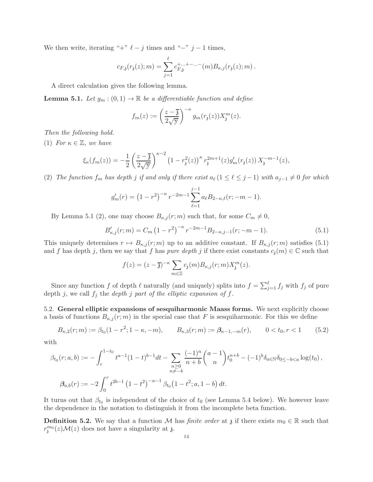We then write, iterating "+"  $\ell - j$  times and "-" j - 1 times,

$$
c_{F,\mathfrak{z}}(r_{\mathfrak{z}}(z);m) = \sum_{j=1}^{\ell} c_{F,\mathfrak{z}}^{+...+-...-}(m) B_{\kappa,j}(r_{\mathfrak{z}}(z);m).
$$

A direct calculation gives the following lemma.

**Lemma 5.1.** Let  $g_m : (0,1) \to \mathbb{R}$  be a differentiable function and define

$$
f_m(z) := \left(\frac{z-\overline{\mathfrak{z}}}{2\sqrt{\mathfrak{y}}}\right)^{-\kappa} g_m(r_{\mathfrak{z}}(z))X_{\mathfrak{z}}^m(z).
$$

Then the following hold.

(1) For  $\kappa \in \mathbb{Z}$ , we have

$$
\xi_{\kappa}(f_m(z)) = -\frac{1}{2} \left( \frac{z-\overline{\mathfrak{z}}}{2\sqrt{\mathfrak{y}}} \right)^{\kappa-2} \left( 1 - r_{\mathfrak{z}}^2(z) \right)^{\kappa} r_{\mathfrak{z}}^{2m+1}(z) g'_m(r_{\mathfrak{z}}(z)) X_{\mathfrak{z}}^{-m-1}(z),
$$

(2) The function  $f_m$  has depth j if and only if there exist  $a_\ell$  ( $1 \leq \ell \leq j-1$ ) with  $a_{j-1} \neq 0$  for which

$$
g'_m(r) = (1 - r^2)^{-\kappa} r^{-2m-1} \sum_{\ell=1}^{j-1} a_{\ell} B_{2-\kappa,\ell}(r; -m-1).
$$

By Lemma 5.1 (2), one may choose  $B_{\kappa,j}(r;m)$  such that, for some  $C_m \neq 0$ ,

$$
B'_{\kappa,j}(r;m) = C_m \left(1 - r^2\right)^{-\kappa} r^{-2m-1} B_{2-\kappa,j-1}(r; -m-1). \tag{5.1}
$$

This uniquely determines  $r \mapsto B_{\kappa,j}(r;m)$  up to an additive constant. If  $B_{\kappa,j}(r;m)$  satisfies (5.1) and f has depth j, then we say that f has pure depth j if there exist constants  $c_3(m) \in \mathbb{C}$  such that

$$
f(z) = (z - \overline{\mathfrak{z}})^{-\kappa} \sum_{m \in \mathbb{Z}} c_{\mathfrak{z}}(m) B_{\kappa, j}(r; m) X_{\mathfrak{z}}^{m}(z).
$$

Since any function f of depth  $\ell$  naturally (and uniquely) splits into  $f = \sum_{j=1}^{\ell} f_j$  with  $f_j$  of pure depth j, we call  $f_j$  the depth j part of the elliptic expansion of f.

5.2. General elliptic expansions of sesquiharmonic Maass forms. We next explicitly choose a basis of functions  $B_{\kappa,j}(r;m)$  in the special case that F is sesquiharmonic. For this we define

$$
B_{\kappa,2}(r;m) := \beta_{t_0}(1-r^2; 1-\kappa, -m), \qquad B_{\kappa,3}(r;m) := \beta_{\kappa-1,-m}(r), \qquad 0 < t_0, r < 1 \tag{5.2}
$$

with

$$
\beta_{t_0}(r;a,b) := -\int_r^{1-t_0} t^{a-1} (1-t)^{b-1} dt - \sum_{\substack{n\geq 0 \\ n \neq -b}} \frac{(-1)^n}{n+b} {a-1 \choose n} t_0^{n+b} - (-1)^b \delta_{a \in \mathbb{N}} \delta_{0 \leq -b < a} \log(t_0),
$$
\n
$$
\beta_{a,b}(r) := -2 \int_0^r t^{2b-1} (1-t^2)^{-a-1} \beta_{t_0} (1-t^2; a, 1-b) dt.
$$

It turns out that  $\beta_{t_0}$  is independent of the choice of  $t_0$  (see Lemma 5.4 below). We however leave the dependence in the notation to distinguish it from the incomplete beta function.

**Definition 5.2.** We say that a function M has *finite order* at  $\chi$  if there exists  $m_0 \in \mathbb{R}$  such that  $r_j^{m_0}(z) \mathcal{M}(z)$  does not have a singularity at  $\mathfrak{z}$ .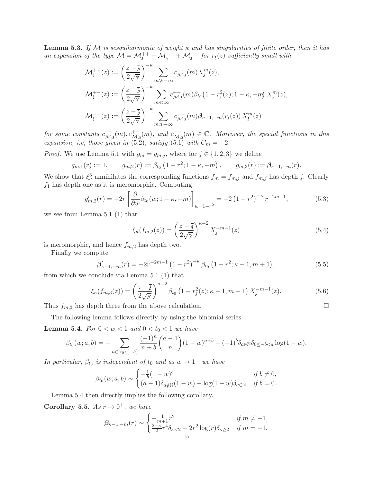**Lemma 5.3.** If M is sesquiharmonic of weight  $\kappa$  and has singularities of finite order, then it has an expansion of the type  $\mathcal{M} = \mathcal{M}_3^{++} + \mathcal{M}_3^{+-} + \mathcal{M}_3^{--}$  for  $r_3(z)$  sufficiently small with

$$
\mathcal{M}_{\mathfrak{z}}^{++}(z) := \left(\frac{z-\overline{\mathfrak{z}}}{2\sqrt{y}}\right)^{-\kappa} \sum_{m \gg -\infty} c_{\mathcal{M},\mathfrak{z}}^{++}(m) X_{\mathfrak{z}}^m(z),
$$
\n
$$
\mathcal{M}_{\mathfrak{z}}^{+-}(z) := \left(\frac{z-\overline{\mathfrak{z}}}{2\sqrt{y}}\right)^{-\kappa} \sum_{m \ll \infty} c_{\mathcal{M},\mathfrak{z}}^{+-}(m) \beta_{t_0} \left(1 - r_{\mathfrak{z}}^2(z); 1 - \kappa, -m\right) X_{\mathfrak{z}}^m(z),
$$
\n
$$
\mathcal{M}_{\mathfrak{z}}^{--}(z) := \left(\frac{z-\overline{\mathfrak{z}}}{2\sqrt{y}}\right)^{-\kappa} \sum_{m \gg -\infty} c_{\mathcal{M},\mathfrak{z}}^{-}(m) \beta_{\kappa-1,-m}(r_{\mathfrak{z}}(z)) X_{\mathfrak{z}}^m(z)
$$

for some constants  $c_{\mathcal{M}}^{++}$  $\mathcal{L}_{\mathcal{M}_{3}}^{++}(m), c_{\mathcal{M}_{3}}^{+-}(m),$  and  $c_{\mathcal{M}_{3}}^{--}(m) \in \mathbb{C}$ . Moreover, the special functions in this expansion, i.e, those given in (5.2), satisfy (5.1) with  $C_m = -2$ .

*Proof.* We use Lemma 5.1 with  $g_m = g_{m,j}$ , where for  $j \in \{1, 2, 3\}$  we define

$$
g_{m,1}(r) := 1,
$$
  $g_{m,2}(r) := \beta_{t_0} (1 - r^2; 1 - \kappa, -m),$   $g_{m,3}(r) := \beta_{\kappa-1,-m}(r).$ 

We show that  $\xi_{\kappa}^3$  annihilates the corresponding functions  $f_m = f_{m,j}$  and  $f_{m,j}$  has depth j. Clearly  $f_1$  has depth one as it is meromorphic. Computing

$$
g'_{m,2}(r) = -2r \left[ \frac{\partial}{\partial w} \beta_{t_0}(w; 1 - \kappa, -m) \right]_{w=1-r^2} = -2 \left( 1 - r^2 \right)^{-\kappa} r^{-2m-1},\tag{5.3}
$$

we see from Lemma 5.1 (1) that

$$
\xi_{\kappa}(f_{m,2}(z)) = \left(\frac{z-\overline{3}}{2\sqrt{y}}\right)^{\kappa-2} X_{\mathfrak{z}}^{-m-1}(z) \tag{5.4}
$$

is meromorphic, and hence  $f_{m,2}$  has depth two.

Finally we compute

$$
\beta'_{\kappa-1,-m}(r) = -2r^{-2m-1} \left(1 - r^2\right)^{-\kappa} \beta_{t_0} \left(1 - r^2; \kappa - 1, m + 1\right),\tag{5.5}
$$

from which we conclude via Lemma 5.1 (1) that

$$
\xi_{\kappa}(f_{m,3}(z)) = \left(\frac{z-\overline{3}}{2\sqrt{y}}\right)^{\kappa-2} \beta_{t_0} \left(1 - r_{\mathfrak{z}}^2(z); \kappa - 1, m + 1\right) X_{\mathfrak{z}}^{-m-1}(z). \tag{5.6}
$$

Thus  $f_{m,3}$  has depth three from the above calculation.  $\square$ 

The following lemma follows directly by using the binomial series.

**Lemma 5.4.** For  $0 < w < 1$  and  $0 < t_0 < 1$  we have

$$
\beta_{t_0}(w;a,b) = -\sum_{n \in \mathbb{N}_0 \setminus \{-b\}} \frac{(-1)^n}{n+b} {a-1 \choose n} (1-w)^{n+b} - (-1)^b \delta_{a \in \mathbb{N}} \delta_{0 \le -b < a} \log(1-w).
$$

In particular,  $\beta_{t_0}$  is independent of  $t_0$  and as  $w \to 1^-$  we have

$$
\beta_{t_0}(w;a,b) \sim \begin{cases}\n-\frac{1}{b}(1-w)^b & \text{if } b \neq 0, \\
(a-1)\delta_{a\notin \mathbb{N}}(1-w) - \log(1-w)\delta_{a\in \mathbb{N}} & \text{if } b = 0.\n\end{cases}
$$

Lemma 5.4 then directly implies the following corollary.

**Corollary 5.5.** As  $r \to 0^+$ , we have

$$
\beta_{\kappa-1,-m}(r) \sim \begin{cases} -\frac{1}{m+1}r^2 & \text{if } m \neq -1, \\ \frac{2-\kappa}{2}r^4\delta_{\kappa<2} + 2r^2\log(r)\delta_{\kappa \geq 2} & \text{if } m = -1. \end{cases}
$$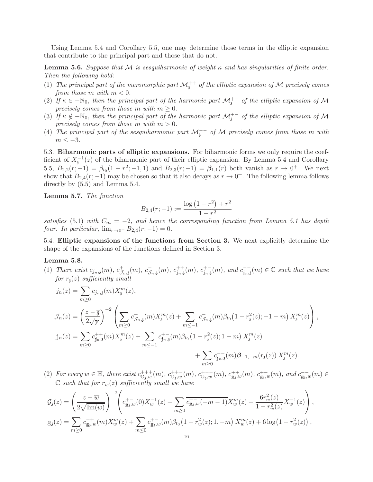Using Lemma 5.4 and Corollary 5.5, one may determine those terms in the elliptic expansion that contribute to the principal part and those that do not.

**Lemma 5.6.** Suppose that M is sesquiharmonic of weight  $\kappa$  and has singularities of finite order. Then the following hold:

- (1) The principal part of the meromorphic part  $\mathcal{M}_3^{++}$  of the elliptic expansion of M precisely comes from those  $m$  with  $m < 0$ .
- (2) If  $\kappa \in -\mathbb{N}_0$ , then the principal part of the harmonic part  $\mathcal{M}_3^{+-}$  of the elliptic expansion of M precisely comes from those m with  $m \geq 0$ .
- (3) If  $\kappa \notin -\mathbb{N}_0$ , then the principal part of the harmonic part  $\mathcal{M}_3^{+-}$  of the elliptic expansion of M precisely comes from those m with  $m > 0$ .
- (4) The principal part of the sesquiharmonic part  $\mathcal{M}_3^{--}$  of  $\mathcal M$  precisely comes from those m with  $m \leq -3$ .

5.3. Biharmonic parts of elliptic expansions. For biharmonic forms we only require the coefficient of  $X_j^{-1}(z)$  of the biharmonic part of their elliptic expansion. By Lemma 5.4 and Corollary 5.5,  $B_{2,2}(r;-1) = \beta_{t_0}(1 - r^2; -1, 1)$  and  $B_{2,3}(r; -1) = \beta_{1,1}(r)$  both vanish as  $r \to 0^+$ . We next show that  $B_{2,4}(r; -1)$  may be chosen so that it also decays as  $r \to 0^+$ . The following lemma follows directly by (5.5) and Lemma 5.4.

Lemma 5.7. The function

$$
B_{2,4}(r;-1) := \frac{\log(1-r^2) + r^2}{1-r^2}
$$

satisfies (5.1) with  $C_m = -2$ , and hence the corresponding function from Lemma 5.1 has depth four. In particular,  $\lim_{r\to 0^+} B_{2,4}(r; -1) = 0$ .

5.4. Elliptic expansions of the functions from Section 3. We next explicitly determine the shape of the expansions of the functions defined in Section 3.

# Lemma 5.8.

(1) There exist  $c_{j_n,3}(m)$ ,  $c_{\mathcal{J}}^+$  $\mathcal{F}_{J_n, \mathbf{3}}(m), c_{J_n, \mathbf{3}}^+(m), c_{\mathbf{j}_n, \mathbf{3}}^+(m), c_{\mathbf{j}_n, \mathbf{3}}^+ (m), and c_{\mathbf{j}_n, \mathbf{3}}^-(m) \in \mathbb{C}$  such that we have for  $r_1(z)$  sufficiently small

$$
j_n(z) = \sum_{m\geq 0} c_{j_n,3}(m) X_j^m(z),
$$
  
\n
$$
\mathcal{J}_n(z) = \left(\frac{z-\overline{3}}{2\sqrt{y}}\right)^{-2} \left(\sum_{m\geq 0} c_{j_n,3}^+(m) X_j^m(z) + \sum_{m\leq -1} c_{j_n,3}^-(m) \beta_{t_0} (1 - r_i^2(z); -1 - m) X_j^m(z)\right),
$$
  
\n
$$
j_n(z) = \sum_{m\geq 0} c_{j_n,3}^{++}(m) X_j^m(z) + \sum_{m\leq -1} c_{j_n,3}^{+-}(m) \beta_{t_0} (1 - r_i^2(z); 1 - m) X_j^m(z)
$$
  
\n
$$
+ \sum_{m\geq 0} c_{j_n,3}^{--}(m) \beta_{-1,-m}(r_3(z)) X_j^m(z).
$$

(2) For every  $w \in \mathbb{H}$ , there exist  $c_{\mathbb{G}_3,w}^{+++}(m)$ ,  $c_{\mathbb{G}_3,w}^{++-}(m)$ ,  $c_{\mathbb{G}_3,w}^{+-}(m)$ ,  $c_{\mathbb{g}_3,w}^{+-}(m)$ ,  $c_{\mathbb{g}_3,w}^{+-}(m)$ , and  $c_{\mathbb{g}_3,w}^{--}(m) \in$  $\mathbb C$  such that for  $r_w(z)$  sufficiently small we have

$$
\mathcal{G}_{\mathfrak{z}}(z) = \left(\frac{z - \overline{w}}{2\sqrt{\text{Im}(w)}}\right)^{-2} \left(c_{g_{\mathfrak{z}},w}^{+-}(0)X_w^{-1}(z) + \sum_{m \geq 0} \overline{c_{g_{\mathfrak{z}},w}^{+-}(-m-1)}X_w^m(z) + \frac{6r_w^2(z)}{1 - r_w^2(z)}X_w^{-1}(z)\right),
$$
  
\n
$$
g_{\mathfrak{z}}(z) = \sum_{m \geq 0} c_{g_{\mathfrak{z}},w}^{++}(m)X_w^m(z) + \sum_{m \leq 0} c_{g_{\mathfrak{z}},w}^{+-}(m)\beta_{t_0}\left(1 - r_w^2(z); 1, -m\right)X_w^m(z) + 6\log\left(1 - r_w^2(z)\right),
$$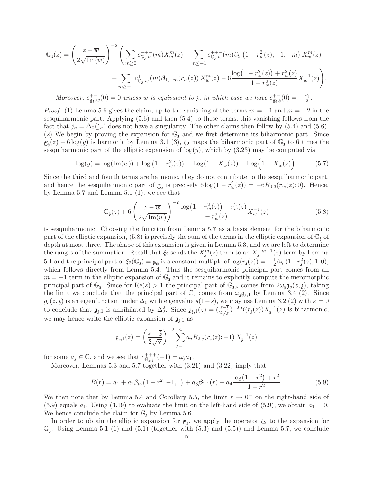$$
\mathbb{G}_{\mathfrak{z}}(z) = \left(\frac{z - \overline{w}}{2\sqrt{\text{Im}(w)}}\right)^{-2} \left(\sum_{m \geq 0} c_{\mathbb{G}_{\mathfrak{z}},w}^{+++}(m) X_{w}^{m}(z) + \sum_{m \leq -1} c_{\mathbb{G}_{\mathfrak{z}},w}^{++-}(m) \beta_{t_{0}} \left(1 - r_{w}^{2}(z); -1, -m\right) X_{w}^{m}(z) + \sum_{m \geq -1} c_{\mathbb{G}_{\mathfrak{z}},w}^{+--}(m) \beta_{1,-m}(r_{w}(z)) X_{w}^{m}(z) - 6 \frac{\log\left(1 - r_{w}^{2}(z)\right) + r_{w}^{2}(z)}{1 - r_{w}^{2}(z)} X_{w}^{-1}(z)\right).
$$

Moreover,  $c_{g_i,w}^{+-}(0) = 0$  unless w is equivalent to  $\chi$ , in which case we have  $c_{g_i,\chi}^{+-}(0) = -\frac{\omega_i}{2}$  $\frac{\sigma_3}{2}$ .

*Proof.* (1) Lemma 5.6 gives the claim, up to the vanishing of the terms  $m = -1$  and  $m = -2$  in the sesquiharmonic part. Applying (5.6) and then (5.4) to these terms, this vanishing follows from the fact that  $j_n = \Delta_0(j_n)$  does not have a singularity. The other claims then follow by (5.4) and (5.6). (2) We begin by proving the expansion for  $\mathbb{G}_3$  and we first determine its biharmonic part. Since  $g_3(z) - 6 \log(y)$  is harmonic by Lemma 3.1 (3),  $\xi_2$  maps the biharmonic part of  $\mathbb{G}_3$  to 6 times the sesquiharmonic part of the elliptic expansion of  $log(y)$ , which by  $(3.23)$  may be computed via

$$
\log(y) = \log(\text{Im}(w)) + \log(1 - r_w^2(z)) - \text{Log}(1 - X_w(z)) - \text{Log}(1 - \overline{X_w(z)}) . \tag{5.7}
$$

Since the third and fourth terms are harmonic, they do not contribute to the sesquiharmonic part, and hence the sesquiharmonic part of  $g_3$  is precisely  $6 \log(1 - r_w^2(z)) = -6B_{0,3}(r_w(z); 0)$ . Hence, by Lemma 5.7 and Lemma 5.1 (1), we see that

$$
\mathbb{G}_{3}(z) + 6\left(\frac{z-\overline{w}}{2\sqrt{\text{Im}(w)}}\right)^{-2} \frac{\log\left(1-r_w^{2}(z)\right) + r_w^{2}(z)}{1-r_w^{2}(z)} X_w^{-1}(z)
$$
\n
$$
(5.8)
$$

is sesquiharmonic. Choosing the function from Lemma 5.7 as a basis element for the biharmonic part of the elliptic expansion,  $(5.8)$  is precisely the sum of the terms in the elliptic expansion of  $\mathbb{G}_3$  of depth at most three. The shape of this expansion is given in Lemma 5.3, and we are left to determine the ranges of the summation. Recall that  $\xi_2$  sends the  $X_j^m(z)$  term to an  $X_j^{-m-1}(z)$  term by Lemma 5.1 and the principal part of  $\xi_2(\mathbb{G}_3) = \mathbb{g}_3$  is a constant multiple of  $\log(r_3(z)) = -\frac{1}{2}$  $\frac{1}{2}\beta_{t_0}(1-r_3^2(z);1;0),$ which follows directly from Lemma 5.4. Thus the sesquiharmonic principal part comes from an  $m = -1$  term in the elliptic expansion of  $\mathbb{G}_3$  and it remains to explicitly compute the meromorphic principal part of  $\mathbb{G}_3$ . Since for  $\text{Re}(s) > 1$  the principal part of  $\mathbb{G}_{3,s}$  comes from  $2\omega_3\mathfrak{g}_s(z,\mathfrak{z})$ , taking the limit we conclude that the principal part of  $\mathbb{G}_3$  comes from  $\omega_3 \mathfrak{g}_{3,1}$  by Lemma 3.4 (2). Since  $g_s(z, \mathfrak{z})$  is an eigenfunction under  $\Delta_0$  with eigenvalue  $s(1-s)$ , we may use Lemma 3.2 (2) with  $\kappa = 0$ to conclude that  $\mathfrak{g}_{\mathfrak{z},1}$  is annihilated by  $\Delta_2^2$ . Since  $\mathfrak{g}_{\mathfrak{z},1}(z) = \left(\frac{z-3}{2\sqrt{y}}\right)^{-2}B(r_{\mathfrak{z}}(z))X_{\mathfrak{z}}^{-1}(z)$  is biharmonic, we may hence write the elliptic expansion of  $\mathfrak{g}_{3,1}$  as

$$
\mathfrak{g}_{\mathfrak{z},1}(z) = \left(\frac{z-\overline{\mathfrak{z}}}{2\sqrt{y}}\right)^{-2} \sum_{j=1}^{4} a_j B_{2,j}(r_{\mathfrak{z}}(z); -1) X_{\mathfrak{z}}^{-1}(z)
$$

for some  $a_j \in \mathbb{C}$ , and we see that  $c_{\mathbb{G}_3,3}^{+++}(-1) = \omega_3 a_1$ .

Moreover, Lemmas 5.3 and 5.7 together with (3.21) and (3.22) imply that

$$
B(r) = a_1 + a_2 \beta_{t_0} \left( 1 - r^2; -1, 1 \right) + a_3 \beta_{1,1}(r) + a_4 \frac{\log(1 - r^2) + r^2}{1 - r^2}.
$$
 (5.9)

We then note that by Lemma 5.4 and Corollary 5.5, the limit  $r \to 0^+$  on the right-hand side of (5.9) equals  $a_1$ . Using (3.19) to evaluate the limit on the left-hand side of (5.9), we obtain  $a_1 = 0$ . We hence conclude the claim for  $\mathbb{G}_3$  by Lemma 5.6.

In order to obtain the elliptic expansion for  $g_3$ , we apply the operator  $\xi_2$  to the expansion for  $\mathbb{G}_3$ . Using Lemma 5.1 (1) and (5.1) (together with (5.3) and (5.5)) and Lemma 5.7, we conclude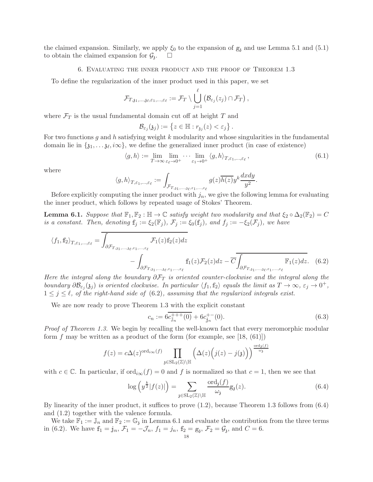the claimed expansion. Similarly, we apply  $\xi_0$  to the expansion of  $g_3$  and use Lemma 5.1 and (5.1) to obtain the claimed expansion for  $\mathcal{G}_3$ . .

6. Evaluating the inner product and the proof of Theorem 1.3

To define the regularization of the inner product used in this paper, we set

$$
\mathcal{F}_{T, \mathfrak{z}_1, \ldots, \mathfrak{z}_\ell, \varepsilon_1, \ldots, \varepsilon_\ell} := \mathcal{F}_T \setminus \bigcup_{j=1}^\ell \left( \mathcal{B}_{\varepsilon_j}(z_j) \cap \mathcal{F}_T \right),
$$

where  $\mathcal{F}_T$  is the usual fundamental domain cut off at height T and

$$
\mathcal{B}_{\varepsilon_j}(\mathfrak{z}_j):=\left\{z\in\mathbb{H}:r_{\mathfrak{z}_j}(z)<\varepsilon_j\right\}.
$$

For two functions g and h satisfying weight k modularity and whose singularities in the fundamental domain lie in  $\{\mathfrak{z}_1,\ldots,\mathfrak{z}_\ell,\infty\}$ , we define the generalized inner product (in case of existence)

$$
\langle g, h \rangle := \lim_{T \to \infty} \lim_{\varepsilon_{\ell} \to 0^{+}} \cdots \lim_{\varepsilon_{1} \to 0^{+}} \langle g, h \rangle_{T, \varepsilon_{1}, \dots, \varepsilon_{\ell}}, \tag{6.1}
$$

where

$$
\langle g,h\rangle_{T,\varepsilon_1,\ldots,\varepsilon_\ell}:=\int_{\mathcal{F}_{T,\mathfrak{z}_1,\ldots,\mathfrak{z}_\ell,\varepsilon_1,\ldots,\varepsilon_\ell}}g(z)\overline{h(z)}y^k\frac{dxdy}{y^2}.
$$

Before explicitly computing the inner product with  $j_n$ , we give the following lemma for evaluating the inner product, which follows by repeated usage of Stokes' Theorem.

**Lemma 6.1.** Suppose that  $\mathbb{F}_1, \mathbb{F}_2$ :  $\mathbb{H} \to \mathbb{C}$  satisfy weight two modularity and that  $\xi_2 \circ \Delta_2(\mathbb{F}_2) = C$ is a constant. Then, denoting  $f_j := \xi_2(\mathbb{F}_j)$ ,  $\mathcal{F}_j := \xi_0(f_j)$ , and  $f_j := -\xi_2(\mathcal{F}_j)$ , we have

$$
\langle f_1, f_2 \rangle_{T, \varepsilon_1, \dots, \varepsilon_\ell} = \overline{\int_{\partial \mathcal{F}_{T, s_1, \dots, s_\ell, \varepsilon_1, \dots, \varepsilon_\ell}} \mathcal{F}_1(z) f_2(z) dz} - \int_{\partial \mathcal{F}_{T, s_1, \dots, s_\ell, \varepsilon_1, \dots, \varepsilon_\ell}} f_1(z) \mathcal{F}_2(z) dz - \overline{C} \overline{\int_{\partial \mathcal{F}_{T, s_1, \dots, s_\ell, \varepsilon_1, \dots, \varepsilon_\ell}} \mathbb{F}_1(z) dz}.
$$
 (6.2)

Here the integral along the boundary  $\partial \mathcal{F}_T$  is oriented counter-clockwise and the integral along the boundary  $\partial \mathcal{B}_{\varepsilon_j}(\mathfrak{z}_j)$  is oriented clockwise. In particular  $\langle f_1, \mathbf{f}_2 \rangle$  equals the limit as  $T \to \infty$ ,  $\varepsilon_j \to 0^+$ ,  $1 \leq j \leq \ell$ , of the right-hand side of (6.2), assuming that the regularized integrals exist.

We are now ready to prove Theorem 1.3 with the explicit constant

$$
c_n := 6\overline{c_{\mathbb{J}_n}^{+++}(0)} + 6c_{\mathbb{j}_n}^{+-}(0). \tag{6.3}
$$

Proof of Theorem 1.3. We begin by recalling the well-known fact that every meromorphic modular form f may be written as a product of the form (for example, see [18,  $(61)$ ])

$$
f(z) = c\Delta(z)^{\text{ord}_{i\infty}(f)} \prod_{\mathfrak{z}\in\text{SL}_2(\mathbb{Z})\backslash \mathbb{H}} \left(\Delta(z) \left(j(z) - j(\mathfrak{z})\right)\right)^{\frac{\text{ord}_{\mathfrak{z}}(f)}{\omega_{\mathfrak{z}}}}
$$

with  $c \in \mathbb{C}$ . In particular, if  $\text{ord}_{i\infty}(f) = 0$  and f is normalized so that  $c = 1$ , then we see that

$$
\log\left(y^{\frac{k}{2}}|f(z)|\right) = \sum_{\mathfrak{z}\in\mathrm{SL}_2(\mathbb{Z})\backslash\mathbb{H}} \frac{\mathrm{ord}_{\mathfrak{z}}(f)}{\omega_{\mathfrak{z}}} \mathfrak{g}_{\mathfrak{z}}(z). \tag{6.4}
$$

By linearity of the inner product, it suffices to prove (1.2), because Theorem 1.3 follows from (6.4) and (1.2) together with the valence formula.

We take  $\mathbb{F}_1 := \mathbb{J}_n$  and  $\mathbb{F}_2 := \mathbb{G}_3$  in Lemma 6.1 and evaluate the contribution from the three terms in (6.2). We have  $f_1 = j_n$ ,  $\mathcal{F}_1 = -\mathcal{J}_n$ ,  $f_1 = j_n$ ,  $f_2 = g_3$ ,  $\mathcal{F}_2 = \mathcal{G}_3$ , and  $C = 6$ .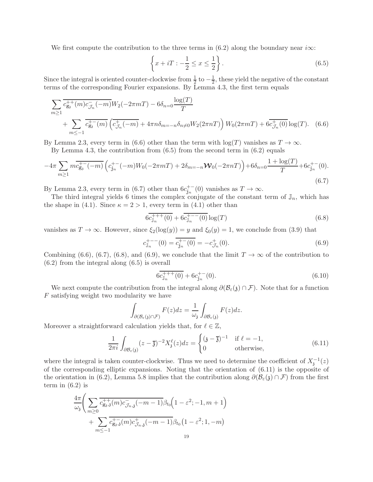We first compute the contribution to the three terms in  $(6.2)$  along the boundary near i $\infty$ :

$$
\left\{x+iT: -\frac{1}{2} \le x \le \frac{1}{2}\right\}.
$$
\n
$$
(6.5)
$$

Since the integral is oriented counter-clockwise from  $\frac{1}{2}$  to  $-\frac{1}{2}$  $\frac{1}{2}$ , these yield the negative of the constant terms of the corresponding Fourier expansions. By Lemma 4.3, the first term equals

$$
\sum_{m\geq 1} \overline{c_{g_s}^{++}(m)c_{\mathcal{J}_n}(-m)} W_2(-2\pi m T) - 6\delta_{n=0} \frac{\log(T)}{T} + \sum_{m\leq -1} \overline{c_{g_s}^{+-}(m)} \left(\overline{c_{\mathcal{J}_n}^{+}(-m)} + 4\pi n \delta_{m=-n} \delta_{n\neq 0} W_2(2\pi n T)\right) W_0(2\pi m T) + 6\overline{c_{\mathcal{J}_n}^{+}(0)} \log(T). \tag{6.6}
$$

By Lemma 2.3, every term in (6.6) other than the term with  $\log(T)$  vanishes as  $T \to \infty$ .

By Lemma 4.3, the contribution from  $(6.5)$  from the second term in  $(6.2)$  equals

$$
-4\pi \sum_{m\geq 1} m \overline{c_{g_s}^{+}(-m)} \left( c_{j_n}^{+-}(-m)W_0(-2\pi mT) + 2\delta_{m=-n}\mathcal{W}_0(-2\pi nT) \right) + 6\delta_{n=0} \frac{1+\log(T)}{T} + 6c_{j_n}^{+-}(0). \tag{6.7}
$$

By Lemma 2.3, every term in (6.7) other than  $6c_{j_n}^{+-}(0)$  vanishes as  $T \to \infty$ .

The third integral yields 6 times the complex conjugate of the constant term of  $\mathbb{J}_n$ , which has the shape in (4.1). Since  $\kappa = 2 > 1$ , every term in (4.1) other than

$$
6c_{\mathbb{J}_n}^{+++}(0) + 6c_{\mathbb{J}_n}^{+--}(0)\log(T)
$$
\n(6.8)

vanishes as  $T \to \infty$ . However, since  $\xi_2(\log(y)) = y$  and  $\xi_0(y) = 1$ , we conclude from (3.9) that

$$
c_{\mathbb{J}_n}^{+--}(0) = \overline{c_{\mathbb{j}_n}^{+-}(0)} = -c_{\mathcal{J}_n}^{+}(0). \tag{6.9}
$$

Combining (6.6), (6.7), (6.8), and (6.9), we conclude that the limit  $T \to \infty$  of the contribution to (6.2) from the integral along (6.5) is overall

$$
6c_{\mathbb{J}_n}^{+++}(0) + 6c_{\mathbb{J}_n}^{+-}(0). \tag{6.10}
$$

We next compute the contribution from the integral along  $\partial(\mathcal{B}_{\varepsilon}(\mathfrak{z}) \cap \mathcal{F})$ . Note that for a function F satisfying weight two modularity we have

$$
\int_{\partial(\mathcal{B}_{\varepsilon}(\mathfrak{z})\cap\mathcal{F})}F(z)dz=\frac{1}{\omega_{\mathfrak{z}}}\int_{\partial\mathcal{B}_{\varepsilon}(\mathfrak{z})}F(z)dz.
$$

Moreover a straightforward calculation yields that, for  $\ell \in \mathbb{Z}$ ,

$$
\frac{1}{2\pi i} \int_{\partial \mathcal{B}_{\varepsilon}(\mathfrak{z})} (z - \overline{\mathfrak{z}})^{-2} X_{\mathfrak{z}}^{\ell}(z) dz = \begin{cases} (\mathfrak{z} - \overline{\mathfrak{z}})^{-1} & \text{if } \ell = -1, \\ 0 & \text{otherwise,} \end{cases}
$$
(6.11)

where the integral is taken counter-clockwise. Thus we need to determine the coefficient of  $X_j^{-1}(z)$ of the corresponding elliptic expansions. Noting that the orientation of (6.11) is the opposite of the orientation in (6.2), Lemma 5.8 implies that the contribution along  $\partial(\mathcal{B}_{\varepsilon}(s) \cap \mathcal{F})$  from the first term in  $(6.2)$  is

$$
\frac{4\pi}{\omega_{\mathfrak{z}}} \Bigg( \sum_{m\geq 0} \overline{c_{g_{\mathfrak{z}},\mathfrak{z}}^{++}(m) c_{\mathcal{J}_{n,\mathfrak{z}}}^{-}(-m-1)} \beta_{t_0} \Big( 1 - \varepsilon^2; -1, m+1 \Big) + \sum_{m\leq -1} \overline{c_{g_{\mathfrak{z}},\mathfrak{z}}^{+-}(m) c_{\mathcal{J}_{n,\mathfrak{z}}}^{+}(-m-1)} \beta_{t_0} \Big( 1 - \varepsilon^2; 1, -m \Big)
$$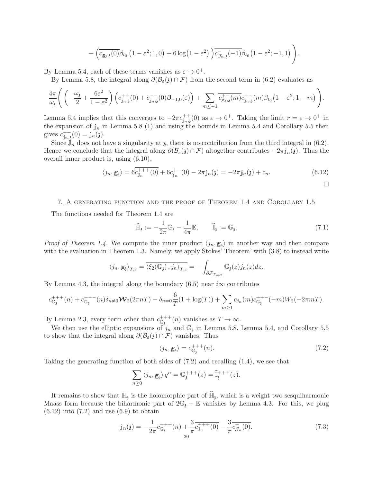$$
+\left(\overline{c_{g_3,\mathfrak{z}}(0)}\beta_{t_0}\left(1-\varepsilon^2;1,0\right)+6\log\left(1-\varepsilon^2\right)\right)\overline{c_{\mathcal{J}_{n,\mathfrak{z}}}^{\mathstrut}(-1)}\beta_{t_0}\big(1-\varepsilon^2;-1,1\big)\Bigg)
$$

By Lemma 5.4, each of these terms vanishes as  $\varepsilon \to 0^+$ .

By Lemma 5.8, the integral along  $\partial(\mathcal{B}_{\varepsilon}(\mathfrak{z}) \cap \mathcal{F})$  from the second term in (6.2) evaluates as

$$
\frac{4\pi}{\omega_{\mathfrak{z}}}\Bigg(\left(-\frac{\omega_{\mathfrak{z}}}{2}+\frac{6\varepsilon^2}{1-\varepsilon^2}\right)\Big(c_{\mathfrak{j}_n,\mathfrak{z}}^{++}(0)+c_{\mathfrak{j}_n,\mathfrak{z}}^{--}(0)\boldsymbol{\beta}_{-1,0}(\varepsilon)\Big)+\sum_{m\leq -1}\overline{c_{\mathfrak{g}_i,\mathfrak{z}}^{+-}(m)}c_{\mathfrak{j}_n,\mathfrak{z}}^{+-}(m)\beta_{t_0}\big(1-\varepsilon^2;1,-m\big)\Bigg).
$$

Lemma 5.4 implies that this converges to  $-2\pi c_{j_n,j}^{++}(0)$  as  $\varepsilon \to 0^+$ . Taking the limit  $r = \varepsilon \to 0^+$  in the expansion of  $j_n$  in Lemma 5.8 (1) and using the bounds in Lemma 5.4 and Corollary 5.5 then gives  $c_{\mathbf{j}_n,\mathbf{j}}^{++}(0) = \mathbf{j}_n(\mathbf{j}).$ 

Since  $\mathbb{J}_n$  does not have a singularity at  $\mathfrak{z}$ , there is no contribution from the third integral in (6.2). Hence we conclude that the integral along  $\partial(\mathcal{B}_{\varepsilon}(\mathfrak{z}) \cap \mathcal{F})$  altogether contributes  $-2\pi j_n(\mathfrak{z})$ . Thus the overall inner product is, using (6.10),

$$
\langle j_n, g_3 \rangle = 6 \overline{c_{J_n}^{+++}(0)} + 6 \overline{c_{j_n}^{+ -}}(0) - 2\pi j_n(\mathfrak{z}) = -2\pi j_n(\mathfrak{z}) + c_n.
$$
 (6.12)

### 7. A generating function and the proof of Theorem 1.4 and Corollary 1.5

The functions needed for Theorem 1.4 are

$$
\widehat{\mathbb{H}}_{\mathfrak{z}} := -\frac{1}{2\pi} \mathbb{G}_{\mathfrak{z}} - \frac{1}{4\pi} \mathbb{E}, \qquad \widehat{\mathbb{I}}_{\mathfrak{z}} := \mathbb{G}_{\mathfrak{z}}.
$$
\n(7.1)

.

*Proof of Theorem 1.4.* We compute the inner product  $\langle j_n, g_j \rangle$  in another way and then compare with the evaluation in Theorem 1.3. Namely, we apply Stokes' Theorem' with  $(3.8)$  to instead write

$$
\langle j_n, g_{\mathfrak{z}} \rangle_{T,\varepsilon} = \overline{\langle \xi_2(\mathbb{G}_{\mathfrak{z}}), j_n \rangle_{T,\varepsilon}} = - \int_{\partial \mathcal{F}_{T,\mathfrak{z},\varepsilon}} \mathbb{G}_{\mathfrak{z}}(z) j_n(z) dz.
$$

By Lemma 4.3, the integral along the boundary (6.5) near  $i\infty$  contributes

$$
c_{\mathbb{G}_3}^{+++}(n) + c_{\mathbb{G}_3}^{+--}(n)\delta_{n\neq 0}\mathcal{W}_2(2\pi nT) - \delta_{n=0}\frac{6}{T}(1+\log(T)) + \sum_{m\geq 1}c_{j_n}(m)c_{\mathbb{G}_3}^{++-}(-m)W_2(-2\pi mT).
$$

By Lemma 2.3, every term other than  $c_{\mathbb{G}_3}^{+++}(n)$  vanishes as  $T \to \infty$ .

We then use the elliptic expansions of  $j_n$  and  $\mathbb{G}_3$  in Lemma 5.8, Lemma 5.4, and Corollary 5.5 to show that the integral along  $\partial(\mathcal{B}_{\varepsilon}(\mathfrak{z})\cap \mathcal{F})$  vanishes. Thus

$$
\langle j_n, \mathbf{g}_3 \rangle = c_{\mathbb{G}_3}^{+++}(n). \tag{7.2}
$$

Taking the generating function of both sides of (7.2) and recalling (1.4), we see that

$$
\sum_{n\geq 0} \langle j_n, g_3 \rangle q^n = \mathbb{G}_{\mathfrak{z}}^{+++}(z) = \widehat{\mathbb{I}}_{\mathfrak{z}}^{+++}(z).
$$

It remains to show that  $\mathbb{H}_{3}$  is the holomorphic part of  $\mathbb{\hat{H}}_{3}$ , which is a weight two sesquiharmonic Maass form because the biharmonic part of  $2\mathbb{G}_{3} + \mathbb{E}$  vanishes by Lemma 4.3. For this, we plug  $(6.12)$  into  $(7.2)$  and use  $(6.9)$  to obtain

$$
\mathbf{j}_n(\mathfrak{z}) = -\frac{1}{2\pi} c_{\mathbb{G}_{\mathfrak{z}}}^{+++}(n) + \frac{3}{\pi} \overline{c_{\mathbb{J}_n}^{++}(0)} - \frac{3}{\pi} \overline{c_{\mathcal{J}_n}^+(0)}.
$$
\n(7.3)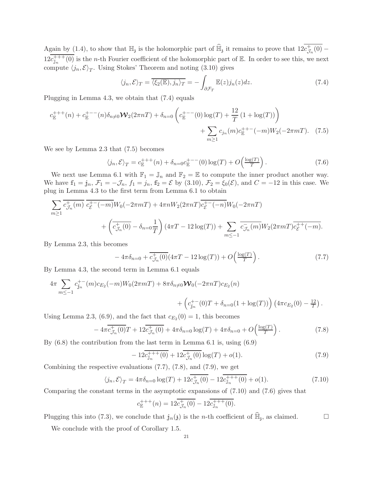Again by (1.4), to show that  $\mathbb{H}_j$  is the holomorphic part of  $\widehat{\mathbb{H}}_j$  it remains to prove that  $12c^+_{\mathcal{J}}$  $\mathcal{J}_n(0)$  –  $12c_{\mathbb{J}_n}^{+++}(0)$  is the *n*-th Fourier coefficient of the holomorphic part of E. In order to see this, we next compute  $\langle j_n, \mathcal{E} \rangle_T$ . Using Stokes' Theorem and noting (3.10) gives

$$
\langle j_n, \mathcal{E} \rangle_T = \overline{\langle \xi_2(\mathbb{E}), j_n \rangle_T} = -\int_{\partial \mathcal{F}_T} \mathbb{E}(z) j_n(z) dz.
$$
 (7.4)

Plugging in Lemma 4.3, we obtain that (7.4) equals

$$
c_{\mathbb{E}}^{+++}(n) + c_{\mathbb{E}}^{+--}(n)\delta_{n\neq 0}\mathcal{W}_2(2\pi nT) + \delta_{n=0}\left(c_{\mathbb{E}}^{+--}(0)\log(T) + \frac{12}{T}(1+\log(T))\right) + \sum_{m\geq 1}c_{j_n}(m)c_{\mathbb{E}}^{++-}(-m)W_2(-2\pi mT). \tag{7.5}
$$

We see by Lemma 2.3 that (7.5) becomes

$$
\langle j_n, \mathcal{E} \rangle_T = c_{\mathbb{E}}^{+++}(n) + \delta_{n=0} c_{\mathbb{E}}^{+--}(0) \log(T) + O\left(\frac{\log(T)}{T}\right). \tag{7.6}
$$

We next use Lemma 6.1 with  $\mathbb{F}_1 = \mathbb{J}_n$  and  $\mathbb{F}_2 = \mathbb{E}$  to compute the inner product another way. We have  $f_1 = j_n$ ,  $\mathcal{F}_1 = -\mathcal{J}_n$ ,  $f_1 = j_n$ ,  $f_2 = \mathcal{E}$  by (3.10),  $\mathcal{F}_2 = \xi_0(\mathcal{E})$ , and  $C = -12$  in this case. We plug in Lemma 4.3 to the first term from Lemma 6.1 to obtain

$$
\sum_{m\geq 1} \overline{c_{\mathcal{J}_n}^+(m)} \overline{c_{\mathcal{E}}^{+-}(-m)} W_0(-2\pi mT) + 4\pi n W_2(2\pi nT) \overline{c_{\mathcal{E}}^{+-}(-n)} W_0(-2\pi nT) + \left(\overline{c_{\mathcal{J}_n}^+(0)} - \delta_{n=0} \frac{1}{T}\right) (4\pi T - 12 \log(T)) + \sum_{m \leq -1} \overline{c_{\mathcal{J}_n}^-(m)} W_2(2\pi mT) \overline{c_{\mathcal{E}}^{++}(-m)}.
$$

By Lemma 2.3, this becomes

$$
-4\pi\delta_{n=0} + \overline{c_{\mathcal{J}_n}^+(0)}(4\pi T - 12\log(T)) + O\left(\frac{\log(T)}{T}\right). \tag{7.7}
$$

By Lemma 4.3, the second term in Lemma 6.1 equals

$$
4\pi \sum_{m \leq -1} c_{j_n}^{+-}(m) c_{E_2}(-m) W_0(2\pi m T) + 8\pi \delta_{n \neq 0} \mathbf{W}_0(-2\pi n T) c_{E_2}(n)
$$
  
+ 
$$
\left(c_{j_n}^{+-}(0)T + \delta_{n=0}(1 + \log(T))\right) \left(4\pi c_{E_2}(0) - \frac{12}{T}\right).
$$

Using Lemma 2.3, (6.9), and the fact that  $c_{E_2}(0) = 1$ , this becomes

$$
-4\pi \overline{c_{\mathcal{J}_n}^+(0)}T + 12\overline{c_{\mathcal{J}_n}^+(0)} + 4\pi \delta_{n=0} \log(T) + 4\pi \delta_{n=0} + O\left(\frac{\log(T)}{T}\right). \tag{7.8}
$$

By (6.8) the contribution from the last term in Lemma 6.1 is, using (6.9)

$$
-12\overline{c_{\mathbb{J}_n}^{+++}(0)} + 12\overline{c_{\mathcal{J}_n}^{+}(0)}\log(T) + o(1). \tag{7.9}
$$

Combining the respective evaluations (7.7), (7.8), and (7.9), we get

$$
\langle j_n, \mathcal{E} \rangle_T = 4\pi \delta_{n=0} \log(T) + 12 \overline{c_{\mathcal{J}_n}^+(0)} - 12 \overline{c_{\mathbb{J}_n}^{+++}(0)} + o(1). \tag{7.10}
$$

Comparing the constant terms in the asymptotic expansions of (7.10) and (7.6) gives that

$$
c_{\mathbb{E}}^{+++}(n) = 12\overline{c_{\mathcal{J}_n}^{+}(0)} - 12\overline{c_{\mathbb{J}_n}^{+++}(0)}.
$$

Plugging this into (7.3), we conclude that  $j_n(j)$  is the *n*-th coefficient of  $\widehat{\mathbb{H}}_j$ , as claimed.

We conclude with the proof of Corollary 1.5.